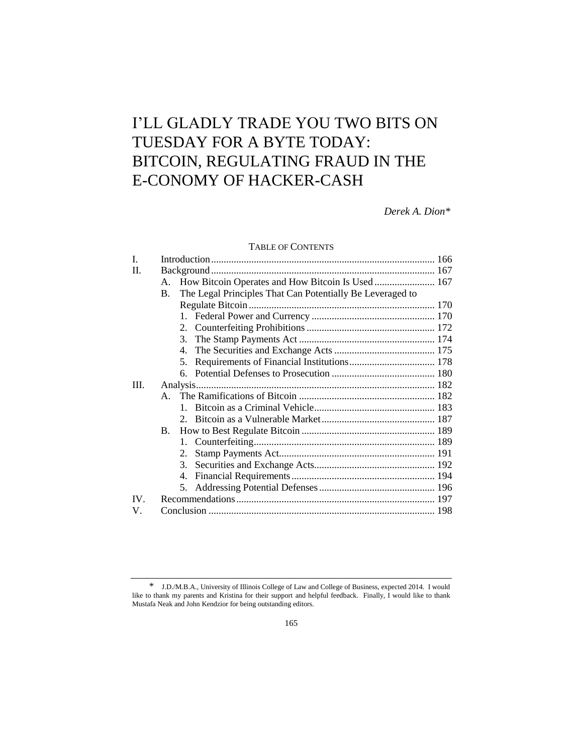# I'LL GLADLY TRADE YOU TWO BITS ON TUESDAY FOR A BYTE TODAY: BITCOIN, REGULATING FRAUD IN THE E-CONOMY OF HACKER-CASH

*Derek A. Dion\**

## TABLE OF CONTENTS

| I.       |                                                                             |  |
|----------|-----------------------------------------------------------------------------|--|
| $\Pi$ .  |                                                                             |  |
|          | How Bitcoin Operates and How Bitcoin Is Used  167<br>A.                     |  |
|          | The Legal Principles That Can Potentially Be Leveraged to<br>$\mathbf{B}$ . |  |
|          |                                                                             |  |
|          |                                                                             |  |
|          |                                                                             |  |
|          | 3.                                                                          |  |
|          | $\mathbf{4}$ .                                                              |  |
|          | 5.                                                                          |  |
|          |                                                                             |  |
| Ш.       |                                                                             |  |
|          |                                                                             |  |
|          | $\mathbf{1}$                                                                |  |
|          |                                                                             |  |
|          | <b>B.</b>                                                                   |  |
|          |                                                                             |  |
|          | 2.                                                                          |  |
|          | 3.                                                                          |  |
|          | 4.                                                                          |  |
|          | 5.                                                                          |  |
| $IV_{-}$ |                                                                             |  |
| V.       |                                                                             |  |
|          |                                                                             |  |

<sup>\*</sup> J.D./M.B.A., University of Illinois College of Law and College of Business, expected 2014. I would like to thank my parents and Kristina for their support and helpful feedback. Finally, I would like to thank Mustafa Neak and John Kendzior for being outstanding editors.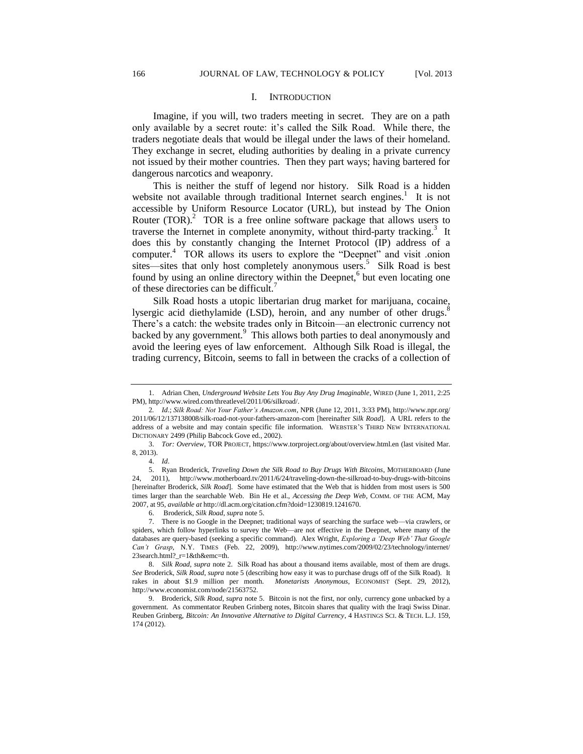#### I. INTRODUCTION

Imagine, if you will, two traders meeting in secret. They are on a path only available by a secret route: it's called the Silk Road. While there, the traders negotiate deals that would be illegal under the laws of their homeland. They exchange in secret, eluding authorities by dealing in a private currency not issued by their mother countries. Then they part ways; having bartered for dangerous narcotics and weaponry.

This is neither the stuff of legend nor history. Silk Road is a hidden website not available through traditional Internet search engines.<sup>1</sup> It is not accessible by Uniform Resource Locator (URL), but instead by The Onion Router  $(TOR)<sup>2</sup>$  TOR is a free online software package that allows users to traverse the Internet in complete anonymity, without third-party tracking.<sup>3</sup> It does this by constantly changing the Internet Protocol (IP) address of a computer.<sup>4</sup> TOR allows its users to explore the "Deepnet" and visit .onion sites—sites that only host completely anonymous users.<sup>5</sup> Silk Road is best found by using an online directory within the Deepnet,<sup>6</sup> but even locating one of these directories can be difficult.<sup>4</sup>

Silk Road hosts a utopic libertarian drug market for marijuana, cocaine, lysergic acid diethylamide (LSD), heroin, and any number of other drugs.<sup>8</sup> There's a catch: the website trades only in Bitcoin—an electronic currency not backed by any government.<sup>9</sup> This allows both parties to deal anonymously and avoid the leering eyes of law enforcement. Although Silk Road is illegal, the trading currency, Bitcoin, seems to fall in between the cracks of a collection of

<sup>1.</sup> Adrian Chen, *Underground Website Lets You Buy Any Drug Imaginable*, WIRED (June 1, 2011, 2:25 PM), http://www.wired.com/threatlevel/2011/06/silkroad/.

<sup>2</sup>*. Id*.; *Silk Road: Not Your Father's Amazon.com*, NPR (June 12, 2011, 3:33 PM), http://www.npr.org/ 2011/06/12/137138008/silk-road-not-your-fathers-amazon-com [hereinafter *Silk Road*]. A URL refers to the address of a website and may contain specific file information. WEBSTER'S THIRD NEW INTERNATIONAL DICTIONARY 2499 (Philip Babcock Gove ed., 2002).

<sup>3.</sup> *Tor: Overview*, TOR PROJECT, https://www.torproject.org/about/overview.html.en (last visited Mar. 8, 2013).

<sup>4.</sup> *Id*.

<sup>5.</sup> Ryan Broderick, *Traveling Down the Silk Road to Buy Drugs With Bitcoins*, MOTHERBOARD (June 24, 2011), http://www.motherboard.tv/2011/6/24/traveling-down-the-silkroad-to-buy-drugs-with-bitcoins [hereinafter Broderick, *Silk Road*]. Some have estimated that the Web that is hidden from most users is 500 times larger than the searchable Web. Bin He et al., *Accessing the Deep Web*, COMM. OF THE ACM, May 2007, at 95, *available at* http://dl.acm.org/citation.cfm?doid=1230819.1241670.

<sup>6.</sup> Broderick, *Silk Road*, *supra* note 5.

<sup>7.</sup> There is no Google in the Deepnet; traditional ways of searching the surface web—via crawlers, or spiders, which follow hyperlinks to survey the Web—are not effective in the Deepnet, where many of the databases are query-based (seeking a specific command). Alex Wright, *Exploring a 'Deep Web' That Google Can't Grasp*, N.Y. TIMES (Feb. 22, 2009), http://www.nytimes.com/2009/02/23/technology/internet/ 23search.html?\_r=1&th&emc=th.

<sup>8.</sup> *Silk Road*, *supra* note 2. Silk Road has about a thousand items available, most of them are drugs. *See* Broderick, *Silk Road*, *supra* note 5 (describing how easy it was to purchase drugs off of the Silk Road). It rakes in about \$1.9 million per month. *Monetarists Anonymous*, ECONOMIST (Sept. 29, 2012), http://www.economist.com/node/21563752.

<sup>9.</sup> Broderick, *Silk Road*, *supra* note 5. Bitcoin is not the first, nor only, currency gone unbacked by a government. As commentator Reuben Grinberg notes, Bitcoin shares that quality with the Iraqi Swiss Dinar. Reuben Grinberg, *Bitcoin: An Innovative Alternative to Digital Currency*, 4 HASTINGS SCI. & TECH. L.J. 159, 174 (2012).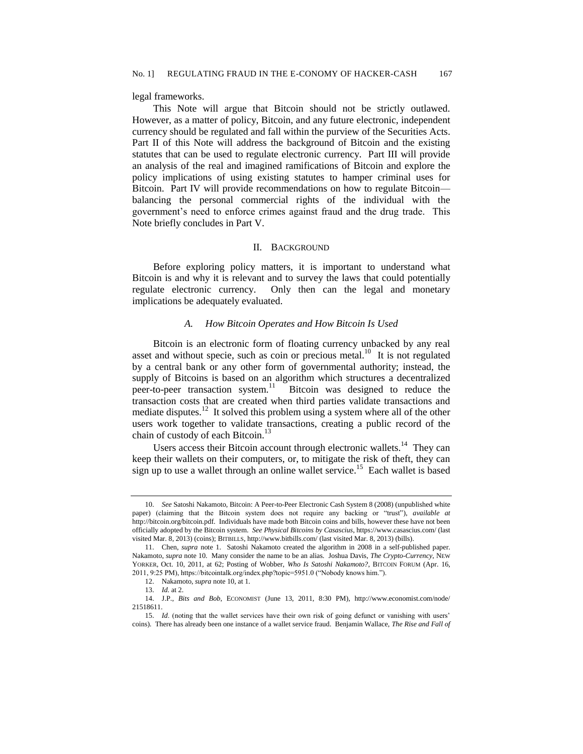legal frameworks.

This Note will argue that Bitcoin should not be strictly outlawed. However, as a matter of policy, Bitcoin, and any future electronic, independent currency should be regulated and fall within the purview of the Securities Acts. Part II of this Note will address the background of Bitcoin and the existing statutes that can be used to regulate electronic currency. Part III will provide an analysis of the real and imagined ramifications of Bitcoin and explore the policy implications of using existing statutes to hamper criminal uses for Bitcoin. Part IV will provide recommendations on how to regulate Bitcoin balancing the personal commercial rights of the individual with the government's need to enforce crimes against fraud and the drug trade. This Note briefly concludes in Part V.

## II. BACKGROUND

Before exploring policy matters, it is important to understand what Bitcoin is and why it is relevant and to survey the laws that could potentially regulate electronic currency. Only then can the legal and monetary implications be adequately evaluated.

## *A. How Bitcoin Operates and How Bitcoin Is Used*

Bitcoin is an electronic form of floating currency unbacked by any real asset and without specie, such as coin or precious metal.<sup>10</sup> It is not regulated by a central bank or any other form of governmental authority; instead, the supply of Bitcoins is based on an algorithm which structures a decentralized peer-to-peer transaction system. $11$  Bitcoin was designed to reduce the transaction costs that are created when third parties validate transactions and mediate disputes.<sup>12</sup> It solved this problem using a system where all of the other users work together to validate transactions, creating a public record of the chain of custody of each Bitcoin.<sup>13</sup>

Users access their Bitcoin account through electronic wallets.<sup>14</sup> They can keep their wallets on their computers, or, to mitigate the risk of theft, they can sign up to use a wallet through an online wallet service.<sup>15</sup> Each wallet is based

<sup>10.</sup> *See* Satoshi Nakamoto, Bitcoin: A Peer-to-Peer Electronic Cash System 8 (2008) (unpublished white paper) (claiming that the Bitcoin system does not require any backing or "trust"), *available at* http://bitcoin.org/bitcoin.pdf. Individuals have made both Bitcoin coins and bills, however these have not been officially adopted by the Bitcoin system. *See Physical Bitcoins by Casascius*, https://www.casascius.com/ (last visited Mar. 8, 2013) (coins); BITBILLS, http://www.bitbills.com/ (last visited Mar. 8, 2013) (bills).

<sup>11.</sup> Chen, *supra* note 1. Satoshi Nakamoto created the algorithm in 2008 in a self-published paper. Nakamoto, *supra* note 10. Many consider the name to be an alias. Joshua Davis, *The Crypto-Currency*, NEW YORKER, Oct. 10, 2011, at 62; Posting of Wobber, *Who Is Satoshi Nakamoto?*, BITCOIN FORUM (Apr. 16, 2011, 9:25 PM), https://bitcointalk.org/index.php?topic=5951.0 ("Nobody knows him.").

<sup>12.</sup> Nakamoto, *supra* note 10, at 1.

<sup>13.</sup> *Id.* at 2.

<sup>14.</sup> J.P., *Bits and Bob*, ECONOMIST (June 13, 2011, 8:30 PM), http://www.economist.com/node/ 21518611.

<sup>15.</sup> *Id*. (noting that the wallet services have their own risk of going defunct or vanishing with users' coins). There has already been one instance of a wallet service fraud. Benjamin Wallace, *The Rise and Fall of*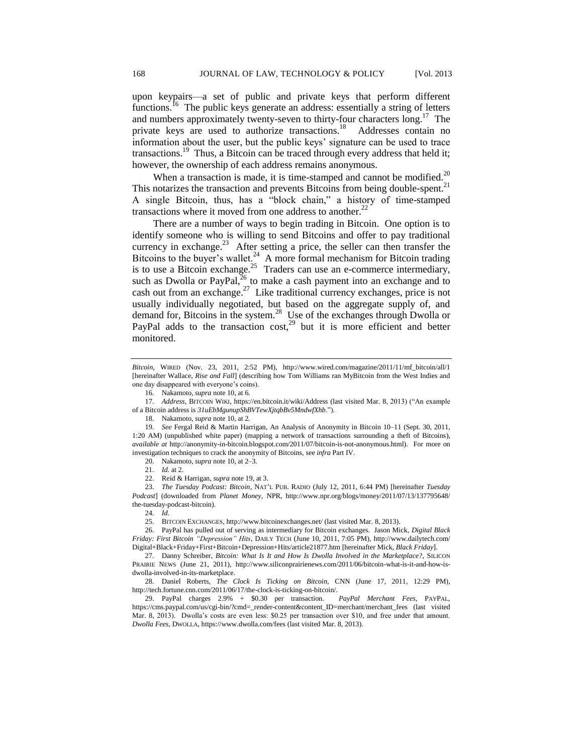upon keypairs—a set of public and private keys that perform different functions.<sup>16</sup> The public keys generate an address: essentially a string of letters and numbers approximately twenty-seven to thirty-four characters long.<sup>17</sup> The private keys are used to authorize transactions.<sup>18</sup> Addresses contain no information about the user, but the public keys' signature can be used to trace transactions.<sup>19</sup> Thus, a Bitcoin can be traced through every address that held it; however, the ownership of each address remains anonymous.

When a transaction is made, it is time-stamped and cannot be modified.<sup>20</sup> This notarizes the transaction and prevents Bitcoins from being double-spent.<sup>21</sup> A single Bitcoin, thus, has a "block chain," a history of time-stamped transactions where it moved from one address to another.<sup>22</sup>

There are a number of ways to begin trading in Bitcoin. One option is to identify someone who is willing to send Bitcoins and offer to pay traditional currency in exchange.<sup>23</sup> After setting a price, the seller can then transfer the Bitcoins to the buyer's wallet.<sup>24</sup> A more formal mechanism for Bitcoin trading is to use a Bitcoin exchange.<sup>25</sup> Traders can use an e-commerce intermediary, such as Dwolla or PayPal, $^{26}$  to make a cash payment into an exchange and to cash out from an exchange.<sup>27</sup> Like traditional currency exchanges, price is not usually individually negotiated, but based on the aggregate supply of, and demand for, Bitcoins in the system.<sup>28</sup> Use of the exchanges through Dwolla or PayPal adds to the transaction  $cost<sub>1</sub><sup>29</sup>$  but it is more efficient and better monitored.

22. Reid & Harrigan, *supra* note 19, at 3.

23. *The Tuesday Podcast: Bitcoin*, NAT'L PUB. RADIO (July 12, 2011, 6:44 PM) [hereinafter *Tuesday Podcast*] (downloaded from *Planet Money*, NPR, http://www.npr.org/blogs/money/2011/07/13/137795648/ the-tuesday-podcast-bitcoin).

27. Danny Schreiber, *Bitcoin: What Is It and How Is Dwolla Involved in the Marketplace?*, SILICON PRAIRIE NEWS (June 21, 2011), http://www.siliconprairienews.com/2011/06/bitcoin-what-is-it-and-how-isdwolla-involved-in-its-marketplace.

28. Daniel Roberts, *The Clock Is Ticking on Bitcoin*, CNN (June 17, 2011, 12:29 PM), http://tech.fortune.cnn.com/2011/06/17/the-clock-is-ticking-on-bitcoin/*.*

29. PayPal charges 2.9% + \$0.30 per transaction. *PayPal Merchant Fees*, PAYPAL, https://cms.paypal.com/us/cgi-bin/?cmd=\_render-content&content\_ID=merchant/merchant\_fees (last visited Mar. 8, 2013). Dwolla's costs are even less: \$0.25 per transaction over \$10, and free under that amount. *Dwolla Fees*, DWOLLA, https://www.dwolla.com/fees (last visited Mar. 8, 2013).

*Bitcoin*, WIRED (Nov. 23, 2011, 2:52 PM), http://www.wired.com/magazine/2011/11/mf\_bitcoin/all/1 [hereinafter Wallace, *Rise and Fall*] (describing how Tom Williams ran MyBitcoin from the West Indies and one day disappeared with everyone's coins).

<sup>16.</sup> Nakamoto, *supra* note 10, at 6*.*

<sup>17.</sup> *Address*, BITCOIN WIKI, https://en.bitcoin.it/wiki/Address (last visited Mar. 8, 2013) ("An example of a Bitcoin address is *31uEbMgunupShBVTewXjtqbBv5MndwfXhb*.").

<sup>18.</sup> Nakamoto, *supra* note 10, at 2*.*

<sup>19.</sup> *See* Fergal Reid & Martin Harrigan, An Analysis of Anonymity in Bitcoin 10–11 (Sept. 30, 2011, 1:20 AM) (unpublished white paper) (mapping a network of transactions surrounding a theft of Bitcoins), *available at* http://anonymity-in-bitcoin.blogspot.com/2011/07/bitcoin-is-not-anonymous.html). For more on investigation techniques to crack the anonymity of Bitcoins, see *infra* Part IV.

<sup>20.</sup> Nakamoto, *supra* note 10, at 2–3*.*

<sup>21.</sup> *Id.* at 2.

<sup>24.</sup> *Id*.

<sup>25.</sup> BITCOIN EXCHANGES, http://www.bitcoinexchanges.net/ (last visited Mar. 8, 2013).

<sup>26.</sup> PayPal has pulled out of serving as intermediary for Bitcoin exchanges. Jason Mick, *Digital Black Friday: First Bitcoin "Depression" Hits*, DAILY TECH (June 10, 2011, 7:05 PM), http://www.dailytech.com/ Digital+Black+Friday+First+Bitcoin+Depression+Hits/article21877.htm [hereinafter Mick, *Black Friday*].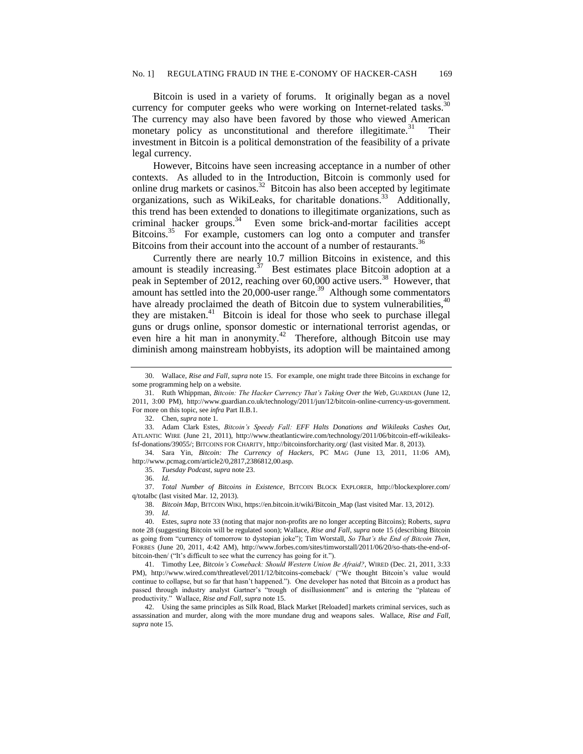Bitcoin is used in a variety of forums. It originally began as a novel currency for computer geeks who were working on Internet-related tasks.<sup>30</sup> The currency may also have been favored by those who viewed American monetary policy as unconstitutional and therefore illegitimate.<sup>31</sup> Their investment in Bitcoin is a political demonstration of the feasibility of a private legal currency.

However, Bitcoins have seen increasing acceptance in a number of other contexts. As alluded to in the Introduction, Bitcoin is commonly used for online drug markets or casinos.<sup>32</sup> Bitcoin has also been accepted by legitimate organizations, such as WikiLeaks, for charitable donations.<sup>33</sup> Additionally, this trend has been extended to donations to illegitimate organizations, such as criminal hacker groups.<sup>34</sup> Even some brick-and-mortar facilities accept Bitcoins.<sup>35</sup> For example, customers can log onto a computer and transfer Bitcoins from their account into the account of a number of restaurants.<sup>36</sup>

Currently there are nearly 10.7 million Bitcoins in existence, and this amount is steadily increasing.<sup>37</sup> Best estimates place Bitcoin adoption at a peak in September of 2012, reaching over 60,000 active users. 38 However, that amount has settled into the 20,000-user range.<sup>39</sup> Although some commentators have already proclaimed the death of Bitcoin due to system vulnerabilities,  $40$ they are mistaken. <sup>41</sup> Bitcoin is ideal for those who seek to purchase illegal guns or drugs online, sponsor domestic or international terrorist agendas, or even hire a hit man in anonymity.<sup>42</sup> Therefore, although Bitcoin use may diminish among mainstream hobbyists, its adoption will be maintained among

34. Sara Yin, *Bitcoin: The Currency of Hackers*, PC MAG (June 13, 2011, 11:06 AM), http://www.pcmag.com/article2/0,2817,2386812,00.asp.

35. *Tuesday Podcast*, *[supra](file:///C:/Users/ddion/Documents/supra)* note 23.

36. *Id*.

37. *Total Number of Bitcoins in Existence*, BITCOIN BLOCK EXPLORER, http://blockexplorer.com/ q/totalbc (last visited Mar. 12, 2013).

38. *Bitcoin Map*, BITCOIN WIKI, https://en.bitcoin.it/wiki/Bitcoin\_Map (last visited Mar. 13, 2012).

39. *Id*.

40. Estes, *supra* note 33 (noting that major non-profits are no longer accepting Bitcoins); Roberts, *supra* note 28 (suggesting Bitcoin will be regulated soon); Wallace, *Rise and Fall*, *supra* note 15 (describing Bitcoin as going from "currency of tomorrow to dystopian joke"); Tim Worstall, *So That's the End of Bitcoin Then*, FORBES (June 20, 2011, 4:42 AM), http://www.forbes.com/sites/timworstall/2011/06/20/so-thats-the-end-ofbitcoin-then/ ("It's difficult to see what the currency has going for it.").

41. Timothy Lee, *Bitcoin's Comeback: Should Western Union Be Afraid?*, WIRED (Dec. 21, 2011, 3:33 PM), http://www.wired.com/threatlevel/2011/12/bitcoins-comeback/ ("We thought Bitcoin's value would continue to collapse, but so far that hasn't happened."). One developer has noted that Bitcoin as a product has passed through industry analyst Gartner's "trough of disillusionment" and is entering the "plateau of productivity." Wallace, *Rise and Fall*, *supra* note 15.

42. Using the same principles as Silk Road, Black Market [Reloaded] markets criminal services, such as assassination and murder, along with the more mundane drug and weapons sales. Wallace, *Rise and Fall*, *supra* note 15.

<sup>30.</sup> Wallace, *Rise and Fall*, *supra* note 15. For example, one might trade three Bitcoins in exchange for some programming help on a website.

<sup>31.</sup> Ruth Whippman, *Bitcoin: The Hacker Currency That's Taking Over the Web*, GUARDIAN (June 12, 2011, 3:00 PM), http://www.guardian.co.uk/technology/2011/jun/12/bitcoin-online-currency-us-government. For more on this topic, see *infra* Part II.B.1.

<sup>32.</sup> Chen, *supra* note 1.

<sup>33.</sup> Adam Clark Estes, *Bitcoin's Speedy Fall: EFF Halts Donations and Wikileaks Cashes Out*, ATLANTIC WIRE (June 21, 2011), http://www.theatlanticwire.com/technology/2011/06/bitcoin-eff-wikileaksfsf-donations/39055/; BITCOINS FOR CHARITY, http://bitcoinsforcharity.org/ (last visited Mar. 8, 2013).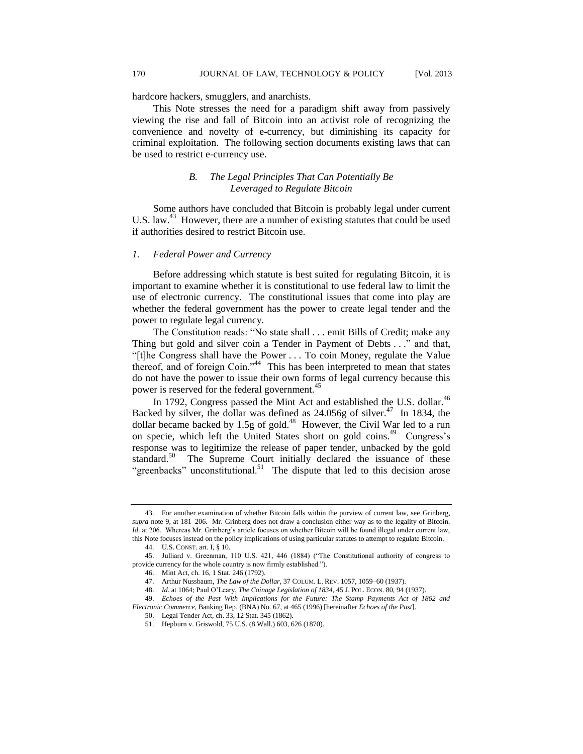hardcore hackers, smugglers, and anarchists.

This Note stresses the need for a paradigm shift away from passively viewing the rise and fall of Bitcoin into an activist role of recognizing the convenience and novelty of e-currency, but diminishing its capacity for criminal exploitation. The following section documents existing laws that can be used to restrict e-currency use.

## *B. The Legal Principles That Can Potentially Be Leveraged to Regulate Bitcoin*

Some authors have concluded that Bitcoin is probably legal under current U.S. law.<sup>43</sup> However, there are a number of existing statutes that could be used if authorities desired to restrict Bitcoin use.

## *1. Federal Power and Currency*

Before addressing which statute is best suited for regulating Bitcoin, it is important to examine whether it is constitutional to use federal law to limit the use of electronic currency. The constitutional issues that come into play are whether the federal government has the power to create legal tender and the power to regulate legal currency.

The Constitution reads: "No state shall . . . emit Bills of Credit; make any Thing but gold and silver coin a Tender in Payment of Debts . . ." and that, "[t]he Congress shall have the Power . . . To coin Money, regulate the Value thereof, and of foreign Coin."<sup>44</sup> This has been interpreted to mean that states do not have the power to issue their own forms of legal currency because this power is reserved for the federal government.<sup>45</sup>

In 1792, Congress passed the Mint Act and established the U.S. dollar.<sup>46</sup> Backed by silver, the dollar was defined as  $24.056g$  of silver.<sup>47</sup> In 1834, the dollar became backed by 1.5g of gold.<sup>48</sup> However, the Civil War led to a run on specie, which left the United States short on gold coins.<sup>49</sup> Congress's response was to legitimize the release of paper tender, unbacked by the gold standard.<sup>50</sup> The Supreme Court initially declared the issuance of these "greenbacks" unconstitutional.<sup>51</sup> The dispute that led to this decision arose

<sup>43.</sup> For another examination of whether Bitcoin falls within the purview of current law, see Grinberg, *supra* note 9, at 181–206. Mr. Grinberg does not draw a conclusion either way as to the legality of Bitcoin. *Id.* at 206. Whereas Mr. Grinberg's article focuses on whether Bitcoin will be found illegal under current law, this Note focuses instead on the policy implications of using particular statutes to attempt to regulate Bitcoin.

<sup>44.</sup> U.S. CONST. art. I, § 10.

<sup>45.</sup> Julliard v. Greenman, 110 U.S. 421, 446 (1884) ("The Constitutional authority of congress to provide currency for the whole country is now firmly established.").

<sup>46.</sup> Mint Act, ch. 16, 1 Stat. 246 (1792).

<sup>47.</sup> Arthur Nussbaum, *The Law of the Dollar*, 37 COLUM. L. REV. 1057, 1059–60 (1937).

<sup>48.</sup> *Id.* at 1064; Paul O'Leary, *The Coinage Legislation of 1834*, 45 J. POL. ECON. 80, 94 (1937).

<sup>49.</sup> *Echoes of the Past With Implications for the Future: The Stamp Payments Act of 1862 and Electronic Commerce*, Banking Rep. (BNA) No. 67, at 465 (1996) [hereinafter *Echoes of the Past*].

<sup>50.</sup> Legal Tender Act, ch. 33, 12 Stat. 345 (1862).

<sup>51.</sup> Hepburn v. Griswold, 75 U.S. (8 Wall.) 603, 626 (1870).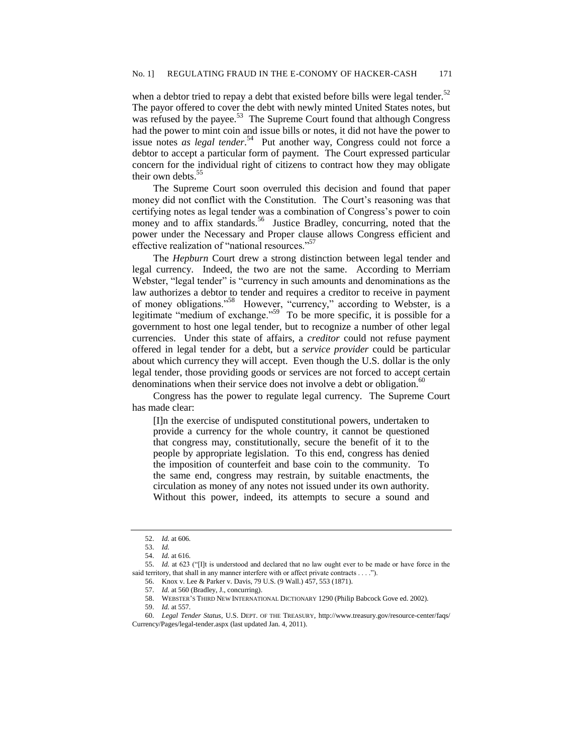when a debtor tried to repay a debt that existed before bills were legal tender.<sup>52</sup> The payor offered to cover the debt with newly minted United States notes, but was refused by the payee.<sup>53</sup> The Supreme Court found that although Congress had the power to mint coin and issue bills or notes, it did not have the power to issue notes *as legal tender*. 54 Put another way, Congress could not force a debtor to accept a particular form of payment. The Court expressed particular concern for the individual right of citizens to contract how they may obligate their own debts.<sup>55</sup>

The Supreme Court soon overruled this decision and found that paper money did not conflict with the Constitution. The Court's reasoning was that certifying notes as legal tender was a combination of Congress's power to coin money and to affix standards.<sup>56</sup> Justice Bradley, concurring, noted that the power under the Necessary and Proper clause allows Congress efficient and effective realization of "national resources."<sup>57</sup>

The *Hepburn* Court drew a strong distinction between legal tender and legal currency. Indeed, the two are not the same. According to Merriam Webster, "legal tender" is "currency in such amounts and denominations as the law authorizes a debtor to tender and requires a creditor to receive in payment of money obligations."<sup>58</sup> However, "currency," according to Webster, is a legitimate "medium of exchange."<sup>59</sup> To be more specific, it is possible for a government to host one legal tender, but to recognize a number of other legal currencies. Under this state of affairs, a *creditor* could not refuse payment offered in legal tender for a debt, but a *service provider* could be particular about which currency they will accept. Even though the U.S. dollar is the only legal tender, those providing goods or services are not forced to accept certain denominations when their service does not involve a debt or obligation.<sup>60</sup>

Congress has the power to regulate legal currency. The Supreme Court has made clear:

[I]n the exercise of undisputed constitutional powers, undertaken to provide a currency for the whole country, it cannot be questioned that congress may, constitutionally, secure the benefit of it to the people by appropriate legislation. To this end, congress has denied the imposition of counterfeit and base coin to the community. To the same end, congress may restrain, by suitable enactments, the circulation as money of any notes not issued under its own authority. Without this power, indeed, its attempts to secure a sound and

<sup>52.</sup> *Id.* at 606.

<sup>53.</sup> *Id.*

<sup>54.</sup> *Id.* at 616.

<sup>55.</sup> *Id.* at 623 ("[I]t is understood and declared that no law ought ever to be made or have force in the said territory, that shall in any manner interfere with or affect private contracts . . . .").

<sup>56.</sup> Knox v. Lee & Parker v. Davis, 79 U.S. (9 Wall.) 457, 553 (1871).

<sup>57.</sup> *Id.* at 560 (Bradley, J., concurring).

<sup>58.</sup> WEBSTER'S THIRD NEW INTERNATIONAL DICTIONARY 1290 (Philip Babcock Gove ed. 2002).

<sup>59.</sup> *Id.* at 557.

<sup>60.</sup> *Legal Tender Status*, U.S. DEPT. OF THE TREASURY, [http://www.treasury.gov/resource-center/faqs/](http://www.treasury.gov/resource-center/faqs/Currency/Pages/legal-tender.aspx) [Currency/Pages/legal-tender.aspx](http://www.treasury.gov/resource-center/faqs/Currency/Pages/legal-tender.aspx) (last updated Jan. 4, 2011).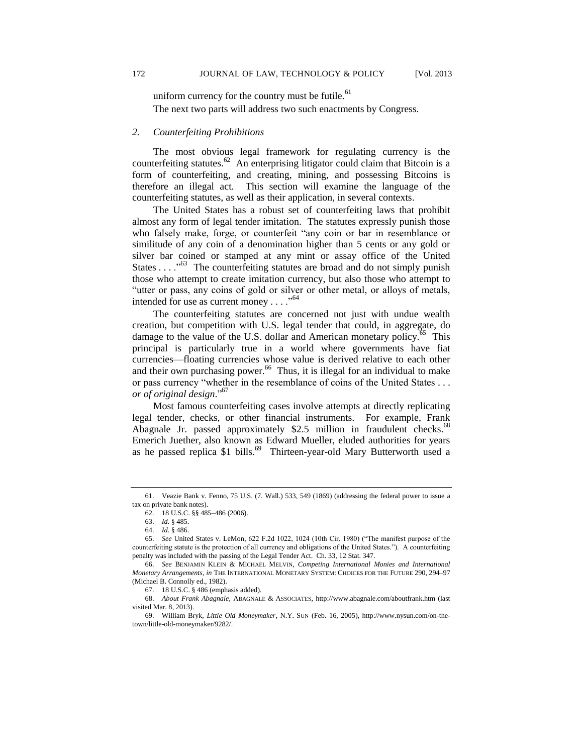uniform currency for the country must be futile. $61$ The next two parts will address two such enactments by Congress.

## *2. Counterfeiting Prohibitions*

The most obvious legal framework for regulating currency is the counterfeiting statutes. $^{62}$  An enterprising litigator could claim that Bitcoin is a form of counterfeiting, and creating, mining, and possessing Bitcoins is therefore an illegal act. This section will examine the language of the counterfeiting statutes, as well as their application, in several contexts.

The United States has a robust set of counterfeiting laws that prohibit almost any form of legal tender imitation. The statutes expressly punish those who falsely make, forge, or counterfeit "any coin or bar in resemblance or similitude of any coin of a denomination higher than 5 cents or any gold or silver bar coined or stamped at any mint or assay office of the United States . . . .<sup>563</sup> The counterfeiting statutes are broad and do not simply punish those who attempt to create imitation currency, but also those who attempt to "utter or pass, any coins of gold or silver or other metal, or alloys of metals, intended for use as current money  $\dots$ ."<sup>64</sup>

The counterfeiting statutes are concerned not just with undue wealth creation, but competition with U.S. legal tender that could, in aggregate, do damage to the value of the U.S. dollar and American monetary policy.<sup>65</sup> This principal is particularly true in a world where governments have fiat currencies—floating currencies whose value is derived relative to each other and their own purchasing power.<sup>66</sup> Thus, it is illegal for an individual to make or pass currency "whether in the resemblance of coins of the United States . . . *or of original design*." 67

Most famous counterfeiting cases involve attempts at directly replicating legal tender, checks, or other financial instruments. For example, Frank Abagnale Jr. passed approximately  $$2.5$  million in fraudulent checks.<sup>68</sup> Emerich Juether, also known as Edward Mueller, eluded authorities for years as he passed replica \$1 bills.<sup>69</sup> Thirteen-year-old Mary Butterworth used a

<sup>61.</sup> Veazie Bank v. Fenno, 75 U.S. (7. Wall.) 533, 549 (1869) (addressing the federal power to issue a tax on private bank notes).

<sup>62.</sup> 18 U.S.C. §§ 485–486 (2006).

<sup>63.</sup> *Id.* § 485.

<sup>64.</sup> *Id.* § 486.

<sup>65.</sup> *See* United States v. LeMon, 622 F.2d 1022, 1024 (10th Cir. 1980) ("The manifest purpose of the counterfeiting statute is the protection of all currency and obligations of the United States."). A counterfeiting penalty was included with the passing of the Legal Tender Act. Ch. 33, 12 Stat. 347.

<sup>66.</sup> *See* BENJAMIN KLEIN & MICHAEL MELVIN, *Competing International Monies and International Monetary Arrangements*, *in* THE INTERNATIONAL MONETARY SYSTEM: CHOICES FOR THE FUTURE 290, 294–97 (Michael B. Connolly ed., 1982).

<sup>67.</sup> 18 U.S.C. § 486 (emphasis added).

<sup>68.</sup> *About Frank Abagnale*, ABAGNALE & ASSOCIATES, http://www.abagnale.com/aboutfrank.htm (last visited Mar. 8, 2013).

<sup>69.</sup> William Bryk, *Little Old Moneymaker*, N.Y. SUN (Feb. 16, 2005), http://www.nysun.com/on-thetown/little-old-moneymaker/9282/.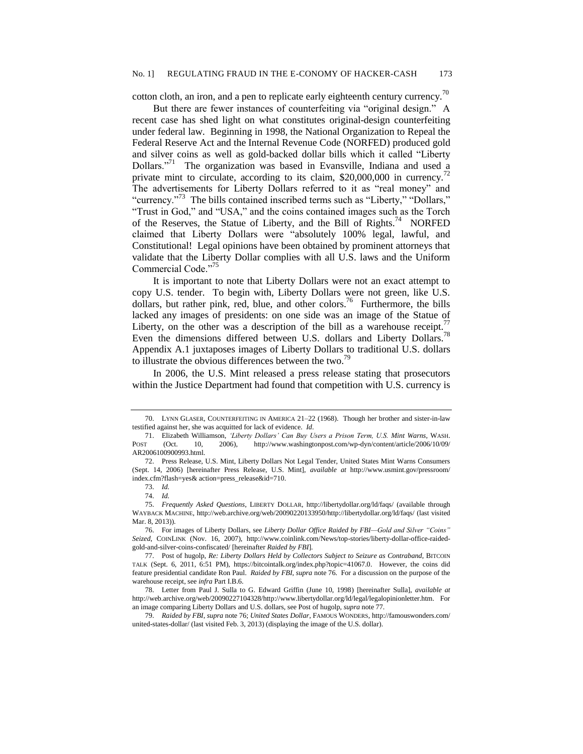cotton cloth, an iron, and a pen to replicate early eighteenth century currency.<sup>70</sup>

But there are fewer instances of counterfeiting via "original design." A recent case has shed light on what constitutes original-design counterfeiting under federal law. Beginning in 1998, the National Organization to Repeal the Federal Reserve Act and the Internal Revenue Code (NORFED) produced gold and silver coins as well as gold-backed dollar bills which it called "Liberty Dollars."<sup>71</sup> The organization was based in Evansville, Indiana and used a private mint to circulate, according to its claim,  $$20,000,000$  in currency.<sup>72</sup> The advertisements for Liberty Dollars referred to it as "real money" and "currency."<sup>73</sup> The bills contained inscribed terms such as "Liberty," "Dollars," "Trust in God," and "USA," and the coins contained images such as the Torch of the Reserves, the Statue of Liberty, and the Bill of Rights.<sup>74</sup> NORFED claimed that Liberty Dollars were "absolutely 100% legal, lawful, and Constitutional! Legal opinions have been obtained by prominent attorneys that validate that the Liberty Dollar complies with all U.S. laws and the Uniform Commercial Code."<sup>75</sup>

It is important to note that Liberty Dollars were not an exact attempt to copy U.S. tender. To begin with, Liberty Dollars were not green, like U.S. dollars, but rather pink, red, blue, and other colors.<sup>76</sup> Furthermore, the bills lacked any images of presidents: on one side was an image of the Statue of Liberty, on the other was a description of the bill as a warehouse receipt.<sup>77</sup> Even the dimensions differed between U.S. dollars and Liberty Dollars.<sup>78</sup> Appendix A.1 juxtaposes images of Liberty Dollars to traditional U.S. dollars to illustrate the obvious differences between the two.<sup>79</sup>

In 2006, the U.S. Mint released a press release stating that prosecutors within the Justice Department had found that competition with U.S. currency is

<sup>70.</sup> LYNN GLASER, COUNTERFEITING IN AMERICA 21–22 (1968). Though her brother and sister-in-law testified against her, she was acquitted for lack of evidence. *Id*.

<sup>71.</sup> Elizabeth Williamson, *'Liberty Dollars' Can Buy Users a Prison Term, U.S. Mint Warns*, WASH. POST (Oct. 10, 2006), http://www.washingtonpost.com/wp-dyn/content/article/2006/10/09/ AR2006100900993.html.

<sup>72.</sup> Press Release, U.S. Mint, Liberty Dollars Not Legal Tender, United States Mint Warns Consumers (Sept. 14, 2006) [hereinafter Press Release, U.S. Mint], *available at* http://www.usmint.gov/pressroom/ index.cfm?flash=yes& action=press\_release&id=710.

<sup>73.</sup> *Id.*

<sup>74.</sup> *Id.*

<sup>75.</sup> *Frequently Asked Questions*, LIBERTY DOLLAR, http://libertydollar.org/ld/faqs/ (available through WAYBACK MACHINE, http://web.archive.org/web/20090220133950/http://libertydollar.org/ld/faqs/ (last visited Mar. 8, 2013)).

<sup>76.</sup> For images of Liberty Dollars, see *Liberty Dollar Office Raided by FBI—Gold and Silver "Coins" Seized*, COINLINK (Nov. 16, 2007), http://www.coinlink.com/News/top-stories/liberty-dollar-office-raidedgold-and-silver-coins-confiscated/ [hereinafter *Raided by FBI*].

<sup>77.</sup> Post of hugolp, *Re: Liberty Dollars Held by Collectors Subject to Seizure as Contraband*, BITCOIN TALK (Sept. 6, 2011, 6:51 PM), [https://bitcointalk.org/index.php?topic=41067.0.](https://bitcointalk.org/index.php?topic=41067.0) However, the coins did feature presidential candidate Ron Paul. *Raided by FBI*, *supra* note 76. For a discussion on the purpose of the warehouse receipt, see *infra* Part I.B.6.

<sup>78.</sup> Letter from Paul J. Sulla to G. Edward Griffin (June 10, 1998) [hereinafter Sulla], *available at* http://web.archive.org/web/20090227104328/http://www.libertydollar.org/ld/legal/legalopinionletter.htm. For an image comparing Liberty Dollars and U.S. dollars, see Post of hugolp, *supra* note 77.

<sup>79.</sup> *Raided by FBI*, *supra* note 76; *United States Dollar*, FAMOUS WONDERS, http://famouswonders.com/ united-states-dollar/ (last visited Feb. 3, 2013) (displaying the image of the U.S. dollar).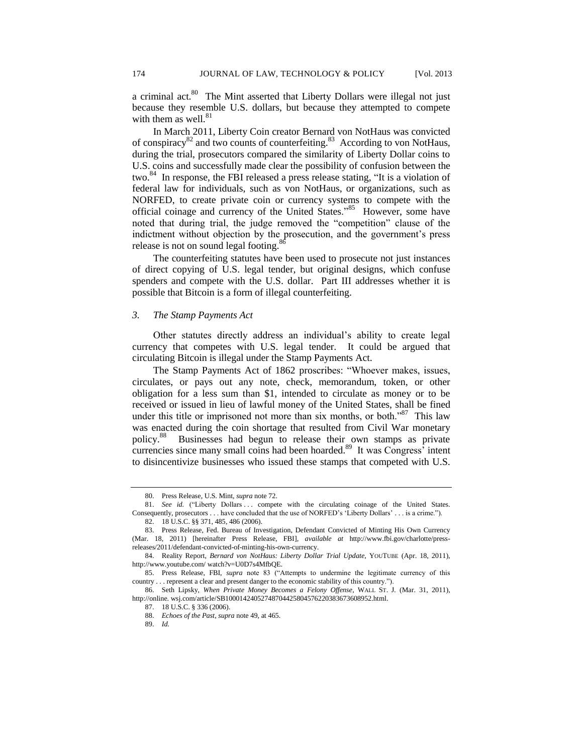a criminal act. $80$  The Mint asserted that Liberty Dollars were illegal not just because they resemble U.S. dollars, but because they attempted to compete with them as well. $81$ 

In March 2011, Liberty Coin creator Bernard von NotHaus was convicted of conspiracy<sup>82</sup> and two counts of counterfeiting.<sup>83</sup> According to von NotHaus, during the trial, prosecutors compared the similarity of Liberty Dollar coins to U.S. coins and successfully made clear the possibility of confusion between the two.<sup>84</sup> In response, the FBI released a press release stating, "It is a violation of federal law for individuals, such as von NotHaus, or organizations, such as NORFED, to create private coin or currency systems to compete with the official coinage and currency of the United States."<sup>85</sup> However, some have noted that during trial, the judge removed the "competition" clause of the indictment without objection by the prosecution, and the government's press release is not on sound legal footing.<sup>86</sup>

The counterfeiting statutes have been used to prosecute not just instances of direct copying of U.S. legal tender, but original designs, which confuse spenders and compete with the U.S. dollar. Part III addresses whether it is possible that Bitcoin is a form of illegal counterfeiting.

## *3. The Stamp Payments Act*

Other statutes directly address an individual's ability to create legal currency that competes with U.S. legal tender. It could be argued that circulating Bitcoin is illegal under the Stamp Payments Act.

The Stamp Payments Act of 1862 proscribes: "Whoever makes, issues, circulates, or pays out any note, check, memorandum, token, or other obligation for a less sum than \$1, intended to circulate as money or to be received or issued in lieu of lawful money of the United States, shall be fined under this title or imprisoned not more than six months, or both."<sup>87</sup> This law was enacted during the coin shortage that resulted from Civil War monetary policy. 88 Businesses had begun to release their own stamps as private currencies since many small coins had been hoarded.<sup>89</sup> It was Congress<sup>3</sup> intent to disincentivize businesses who issued these stamps that competed with U.S.

<sup>80.</sup> Press Release, U.S. Mint, *supra* note 72.

<sup>81.</sup> *See id.* ("Liberty Dollars ... compete with the circulating coinage of the United States. Consequently, prosecutors . . . have concluded that the use of NORFED's 'Liberty Dollars' . . . is a crime.").

<sup>82.</sup> 18 U.S.C. §§ 371, 485, 486 (2006).

<sup>83.</sup> Press Release, Fed. Bureau of Investigation, Defendant Convicted of Minting His Own Currency (Mar. 18, 2011) [hereinafter Press Release, FBI], *available at* http://www.fbi.gov/charlotte/pressreleases/2011/defendant-convicted-of-minting-his-own-currency.

<sup>84.</sup> Reality Report, *Bernard von NotHaus: Liberty Dollar Trial Update*, YOUTUBE (Apr. 18, 2011), http://www.youtube.com/ watch?v=U0D7s4MfbQE.

<sup>85.</sup> Press Release, FBI, *supra* note 83 ("Attempts to undermine the legitimate currency of this country . . . represent a clear and present danger to the economic stability of this country.").

<sup>86.</sup> Seth Lipsky, *When Private Money Becomes a Felony Offense*, WALL ST. J. (Mar. 31, 2011), http://online. wsj.com/article/SB10001424052748704425804576220383673608952.html.

<sup>87.</sup> 18 U.S.C. § 336 (2006).

<sup>88.</sup> *Echoes of the Past*, *supra* note 49, at 465.

<sup>89.</sup> *Id.*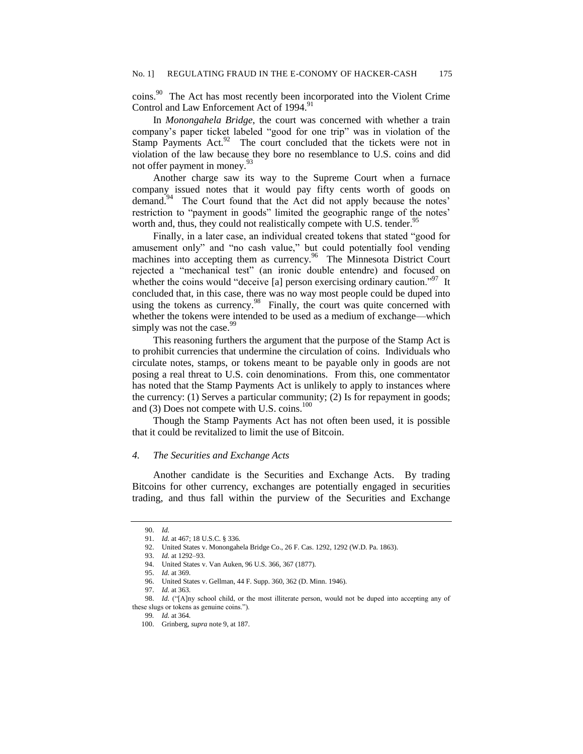coins.<sup>90</sup> The Act has most recently been incorporated into the Violent Crime Control and Law Enforcement Act of 1994.<sup>91</sup>

In *Monongahela Bridge*, the court was concerned with whether a train company's paper ticket labeled "good for one trip" was in violation of the Stamp Payments  $Act.^{92}$  The court concluded that the tickets were not in violation of the law because they bore no resemblance to U.S. coins and did not offer payment in money.<sup>93</sup>

Another charge saw its way to the Supreme Court when a furnace company issued notes that it would pay fifty cents worth of goods on demand.<sup>94</sup> The Court found that the Act did not apply because the notes' restriction to "payment in goods" limited the geographic range of the notes' worth and, thus, they could not realistically compete with U.S. tender.<sup>95</sup>

Finally, in a later case, an individual created tokens that stated "good for amusement only" and "no cash value," but could potentially fool vending machines into accepting them as currency.<sup>96</sup> The Minnesota District Court rejected a "mechanical test" (an ironic double entendre) and focused on whether the coins would "deceive [a] person exercising ordinary caution."<sup>97</sup> It concluded that, in this case, there was no way most people could be duped into using the tokens as currency.<sup>98</sup> Finally, the court was quite concerned with whether the tokens were intended to be used as a medium of exchange—which simply was not the case.<sup>99</sup>

This reasoning furthers the argument that the purpose of the Stamp Act is to prohibit currencies that undermine the circulation of coins. Individuals who circulate notes, stamps, or tokens meant to be payable only in goods are not posing a real threat to U.S. coin denominations. From this, one commentator has noted that the Stamp Payments Act is unlikely to apply to instances where the currency: (1) Serves a particular community; (2) Is for repayment in goods; and (3) Does not compete with U.S. coins. $100$ 

Though the Stamp Payments Act has not often been used, it is possible that it could be revitalized to limit the use of Bitcoin.

## *4. The Securities and Exchange Acts*

Another candidate is the Securities and Exchange Acts. By trading Bitcoins for other currency, exchanges are potentially engaged in securities trading, and thus fall within the purview of the Securities and Exchange

<sup>90.</sup> *Id.*

<sup>91.</sup> *Id.* at 467; 18 U.S.C. § 336.

<sup>92.</sup> United States v. Monongahela Bridge Co., 26 F. Cas. 1292, 1292 (W.D. Pa. 1863).

<sup>93.</sup> *Id.* at 1292–93.

<sup>94.</sup> United States v. Van Auken, 96 U.S. 366, 367 (1877).

<sup>95.</sup> *Id.* at 369.

<sup>96.</sup> United States v. Gellman, 44 F. Supp. 360, 362 (D. Minn. 1946).

<sup>97.</sup> *Id.* at 363.

<sup>98.</sup> *Id.* ("[A]ny school child, or the most illiterate person, would not be duped into accepting any of these slugs or tokens as genuine coins.").

<sup>99</sup>*. Id.* at 364.

<sup>100.</sup> Grinberg, *supra* note 9, at 187.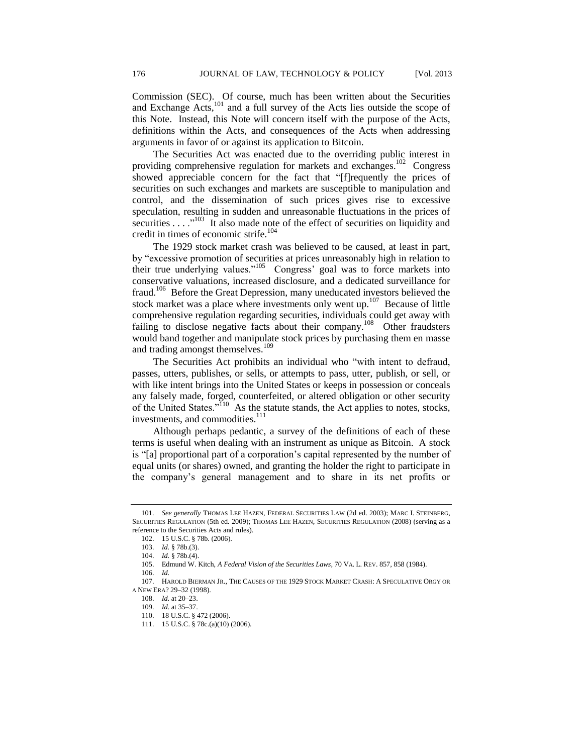Commission (SEC). Of course, much has been written about the Securities and Exchange Acts,<sup>101</sup> and a full survey of the Acts lies outside the scope of this Note. Instead, this Note will concern itself with the purpose of the Acts, definitions within the Acts, and consequences of the Acts when addressing arguments in favor of or against its application to Bitcoin.

The Securities Act was enacted due to the overriding public interest in providing comprehensive regulation for markets and exchanges.<sup>102</sup> Congress showed appreciable concern for the fact that "[f]requently the prices of securities on such exchanges and markets are susceptible to manipulation and control, and the dissemination of such prices gives rise to excessive speculation, resulting in sudden and unreasonable fluctuations in the prices of securities . . . .<sup>"103</sup> It also made note of the effect of securities on liquidity and credit in times of economic strife.<sup>104</sup>

The 1929 stock market crash was believed to be caused, at least in part, by "excessive promotion of securities at prices unreasonably high in relation to their true underlying values."<sup>105</sup> Congress' goal was to force markets into conservative valuations, increased disclosure, and a dedicated surveillance for fraud.<sup>106</sup> Before the Great Depression, many uneducated investors believed the stock market was a place where investments only went up.<sup>107</sup> Because of little comprehensive regulation regarding securities, individuals could get away with failing to disclose negative facts about their company.<sup>108</sup> Other fraudsters would band together and manipulate stock prices by purchasing them en masse and trading amongst themselves.<sup>109</sup>

The Securities Act prohibits an individual who "with intent to defraud, passes, utters, publishes, or sells, or attempts to pass, utter, publish, or sell, or with like intent brings into the United States or keeps in possession or conceals any falsely made, forged, counterfeited, or altered obligation or other security of the United States."<sup>110</sup> As the statute stands, the Act applies to notes, stocks, investments, and commodities.<sup>111</sup>

Although perhaps pedantic, a survey of the definitions of each of these terms is useful when dealing with an instrument as unique as Bitcoin. A stock is "[a] proportional part of a corporation's capital represented by the number of equal units (or shares) owned, and granting the holder the right to participate in the company's general management and to share in its net profits or

<sup>101.</sup> *See generally* THOMAS LEE HAZEN, FEDERAL SECURITIES LAW (2d ed. 2003); MARC I. STEINBERG, SECURITIES REGULATION (5th ed. 2009); THOMAS LEE HAZEN, SECURITIES REGULATION (2008) (serving as a reference to the Securities Acts and rules).

<sup>102.</sup> 15 U.S.C. § 78b. (2006).

<sup>103.</sup> *Id.* § 78b.(3).

<sup>104.</sup> *Id.* § 78b.(4).

<sup>105.</sup> Edmund W. Kitch, *A Federal Vision of the Securities Laws*, 70 VA. L. REV. 857, 858 (1984).

<sup>106.</sup> *Id.*

<sup>107.</sup> HAROLD BIERMAN JR., THE CAUSES OF THE 1929 STOCK MARKET CRASH: A SPECULATIVE ORGY OR A NEW ERA? 29–32 (1998).

<sup>108.</sup> *Id.* at 20–23.

<sup>109.</sup> *Id*. at 35–37.

<sup>110.</sup> 18 U.S.C. § 472 (2006).

<sup>111.</sup> 15 U.S.C. § 78c.(a)(10) (2006).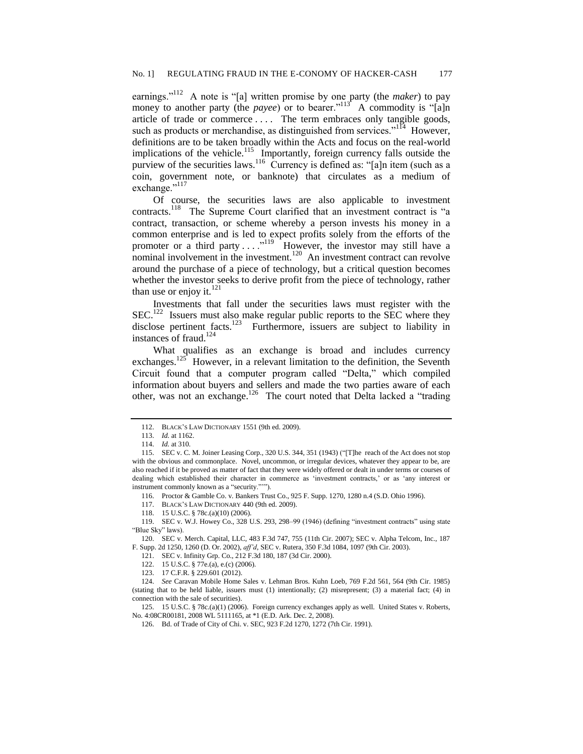earnings."<sup>112</sup> A note is "[a] written promise by one party (the *maker*) to pay money to another party (the *payee*) or to bearer."<sup>113</sup> A commodity is "[a]n article of trade or commerce . . . . The term embraces only tangible goods, such as products or merchandise, as distinguished from services."<sup>114</sup> However, definitions are to be taken broadly within the Acts and focus on the real-world implications of the vehicle.<sup>115</sup> Importantly, foreign currency falls outside the purview of the securities laws.<sup>116</sup> Currency is defined as: "[a]n item (such as a coin, government note, or banknote) that circulates as a medium of exchange."<sup>117</sup>

Of course, the securities laws are also applicable to investment contracts.<sup>118</sup> The Supreme Court clarified that an investment contract is "a contract, transaction, or scheme whereby a person invests his money in a common enterprise and is led to expect profits solely from the efforts of the promoter or a third party  $\dots$ <sup>119</sup> However, the investor may still have a nominal involvement in the investment.<sup>120</sup> An investment contract can revolve around the purchase of a piece of technology, but a critical question becomes whether the investor seeks to derive profit from the piece of technology, rather than use or enjoy it. $^{121}$ 

Investments that fall under the securities laws must register with the  $SEC.<sup>122</sup>$  Issuers must also make regular public reports to the SEC where they disclose pertinent facts.<sup>123</sup> Furthermore, issuers are subject to liability in instances of fraud.<sup>124</sup>

What qualifies as an exchange is broad and includes currency exchanges.<sup>125</sup> However, in a relevant limitation to the definition, the Seventh Circuit found that a computer program called "Delta," which compiled information about buyers and sellers and made the two parties aware of each other, was not an exchange.<sup>126</sup> The court noted that Delta lacked a "trading"

117. BLACK'S LAW DICTIONARY 440 (9th ed. 2009).

118. 15 U.S.C. § 78c.(a)(10) (2006).

121. SEC v. Infinity Grp. Co., 212 F.3d 180, 187 (3d Cir. 2000).

125. 15 U.S.C. § 78c.(a)(1) (2006). Foreign currency exchanges apply as well. United States v. Roberts, No. 4:08CR00181, 2008 WL 5111165, at \*1 (E.D. Ark. Dec. 2, 2008).

<sup>112.</sup> BLACK'S LAW DICTIONARY 1551 (9th ed. 2009).

<sup>113.</sup> *Id.* at 1162.

<sup>114.</sup> *Id.* at 310.

<sup>115.</sup> SEC v. C. M. Joiner Leasing Corp., 320 U.S. 344, 351 (1943) ("[T]he reach of the Act does not stop with the obvious and commonplace. Novel, uncommon, or irregular devices, whatever they appear to be, are also reached if it be proved as matter of fact that they were widely offered or dealt in under terms or courses of dealing which established their character in commerce as 'investment contracts,' or as 'any interest or instrument commonly known as a "security.""").

<sup>116.</sup> Proctor & Gamble Co. v. Bankers Trust Co., 925 F. Supp. 1270, 1280 n.4 (S.D. Ohio 1996).

<sup>119.</sup> SEC v. W.J. Howey Co., 328 U.S. 293, 298–99 (1946) (defining "investment contracts" using state "Blue Sky" laws).

<sup>120.</sup> SEC v. Merch. Capital, LLC, 483 F.3d 747, 755 (11th Cir. 2007); SEC v. Alpha Telcom, Inc., 187 F. Supp. 2d 1250, 1260 (D. Or. 2002), *aff'd*, SEC v. Rutera, 350 F.3d 1084, 1097 (9th Cir. 2003).

<sup>122.</sup> 15 U.S.C. § 77e.(a), e.(c) (2006).

<sup>123.</sup> 17 C.F.R. § 229.601 (2012).

<sup>124.</sup> *See* Caravan Mobile Home Sales v. Lehman Bros. Kuhn Loeb, 769 F.2d 561, 564 (9th Cir. 1985) (stating that to be held liable, issuers must (1) intentionally; (2) misrepresent; (3) a material fact; (4) in connection with the sale of securities).

<sup>126.</sup> Bd. of Trade of City of Chi. v. SEC, 923 F.2d 1270, 1272 (7th Cir. 1991).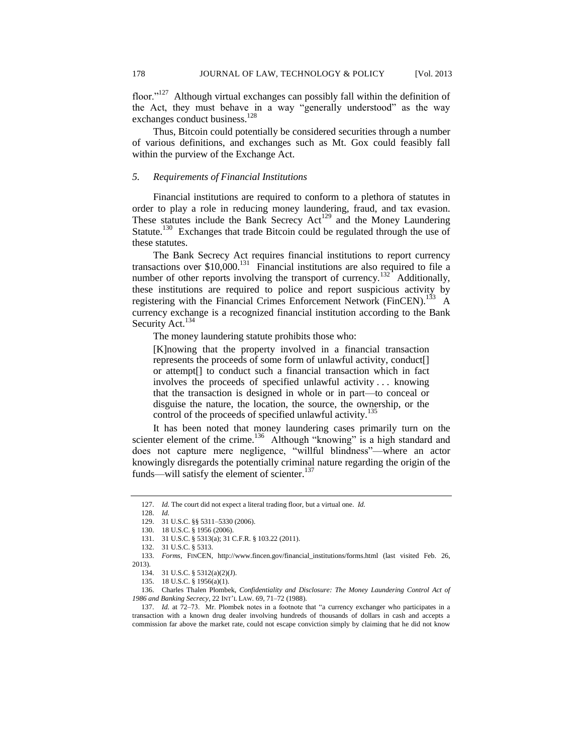floor."<sup>127</sup> Although virtual exchanges can possibly fall within the definition of the Act, they must behave in a way "generally understood" as the way exchanges conduct business.<sup>128</sup>

Thus, Bitcoin could potentially be considered securities through a number of various definitions, and exchanges such as Mt. Gox could feasibly fall within the purview of the Exchange Act.

## *5. Requirements of Financial Institutions*

Financial institutions are required to conform to a plethora of statutes in order to play a role in reducing money laundering, fraud, and tax evasion. These statutes include the Bank Secrecy Act<sup>129</sup> and the Money Laundering Statute.<sup>130</sup> Exchanges that trade Bitcoin could be regulated through the use of these statutes.

The Bank Secrecy Act requires financial institutions to report currency transactions over  $$10,000$ .<sup>131</sup> Financial institutions are also required to file a number of other reports involving the transport of currency.<sup>132</sup> Additionally, these institutions are required to police and report suspicious activity by registering with the Financial Crimes Enforcement Network (FinCEN).<sup>133</sup> A currency exchange is a recognized financial institution according to the Bank Security Act.<sup>134</sup>

The money laundering statute prohibits those who:

[K]nowing that the property involved in a financial transaction represents the proceeds of some form of unlawful activity, conduct[] or attempt[] to conduct such a financial transaction which in fact involves the proceeds of specified unlawful activity . . . knowing that the transaction is designed in whole or in part—to conceal or disguise the nature, the location, the source, the ownership, or the control of the proceeds of specified unlawful activity. 135

It has been noted that money laundering cases primarily turn on the scienter element of the crime.<sup>136</sup> Although "knowing" is a high standard and does not capture mere negligence, "willful blindness"—where an actor knowingly disregards the potentially criminal nature regarding the origin of the funds—will satisfy the element of scienter.<sup>137</sup>

<sup>127.</sup> *Id.* The court did not expect a literal trading floor, but a virtual one. *Id.*

<sup>128.</sup> *Id.*

<sup>129.</sup> 31 U.S.C. §§ 5311–5330 (2006).

<sup>130.</sup> 18 U.S.C. § 1956 (2006).

<sup>131.</sup> 31 U.S.C. § 5313(a)[; 31 C.F.R. § 103.22](http://web2.westlaw.com/find/default.wl?mt=208&db=1000547&docname=31CFRS103.22&rp=%2ffind%2fdefault.wl&findtype=L&ordoc=1991200739&tc=-1&vr=2.0&fn=_top&sv=Split&tf=-1&pbc=41877673&rs=WLW12.01) (2011).

<sup>132.</sup> 31 U.S.C. § 5313.

<sup>133.</sup> *Forms*, FINCEN, http://www.fincen.gov/financial\_institutions/forms.html (last visited Feb. 26, 2013).

<sup>134.</sup> 31 U.S.C. § 5312(a)(2)(J).

<sup>135.</sup> 18 U.S.C. § 1956(a)(1).

<sup>136.</sup> Charles Thalen Plombek, *Confidentiality and Disclosure: The Money Laundering Control Act of 1986 and Banking Secrecy*, 22 INT'L LAW. 69, 71–72 (1988).

<sup>137.</sup> *Id.* at 72–73. Mr. Plombek notes in a footnote that "a currency exchanger who participates in a transaction with a known drug dealer involving hundreds of thousands of dollars in cash and accepts a commission far above the market rate, could not escape conviction simply by claiming that he did not know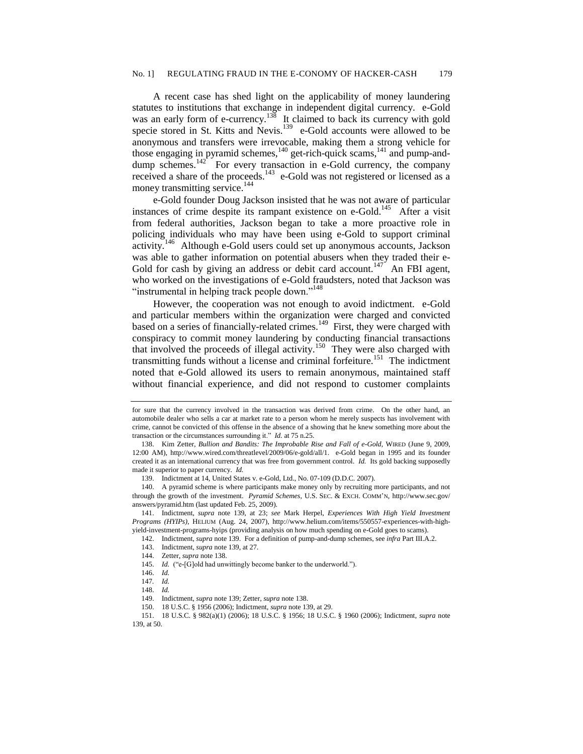A recent case has shed light on the applicability of money laundering statutes to institutions that exchange in independent digital currency. e-Gold was an early form of e-currency.<sup>138</sup> It claimed to back its currency with gold specie stored in St. Kitts and Nevis.<sup>139</sup> e-Gold accounts were allowed to be anonymous and transfers were irrevocable, making them a strong vehicle for those engaging in pyramid schemes, $140$  get-rich-quick scams, $141$  and pump-anddump schemes.<sup>142</sup> For every transaction in e-Gold currency, the company received a share of the proceeds.<sup>143</sup> e-Gold was not registered or licensed as a money transmitting service.<sup>144</sup>

e-Gold founder Doug Jackson insisted that he was not aware of particular instances of crime despite its rampant existence on e-Gold.<sup>145</sup> After a visit from federal authorities, Jackson began to take a more proactive role in policing individuals who may have been using e-Gold to support criminal activity.<sup>146</sup> Although e-Gold users could set up anonymous accounts, Jackson was able to gather information on potential abusers when they traded their e-Gold for cash by giving an address or debit card account.<sup>147</sup> An FBI agent, who worked on the investigations of e-Gold fraudsters, noted that Jackson was "instrumental in helping track people down."<sup>148</sup>

However, the cooperation was not enough to avoid indictment. e-Gold and particular members within the organization were charged and convicted based on a series of financially-related crimes.<sup>149</sup> First, they were charged with conspiracy to commit money laundering by conducting financial transactions that involved the proceeds of illegal activity.<sup>150</sup> They were also charged with transmitting funds without a license and criminal forfeiture.<sup>151</sup> The indictment noted that e-Gold allowed its users to remain anonymous, maintained staff without financial experience, and did not respond to customer complaints

for sure that the currency involved in the transaction was derived from crime. On the other hand, an automobile dealer who sells a car at market rate to a person whom he merely suspects has involvement with crime, cannot be convicted of this offense in the absence of a showing that he knew something more about the transaction or the circumstances surrounding it." *Id.* at 75 n.25.

<sup>138.</sup> Kim Zetter, *Bullion and Bandits: The Improbable Rise and Fall of e-Gold*, WIRED (June 9, 2009, 12:00 AM), http://www.wired.com/threatlevel/2009/06/e-gold/all/1. e-Gold began in 1995 and its founder created it as an international currency that was free from government control. *Id.* Its gold backing supposedly made it superior to paper currency. *Id.* 

<sup>139.</sup> Indictment at 14, United States v. e-Gold, Ltd., No. 07-109 (D.D.C. 2007).

<sup>140.</sup> A pyramid scheme is where participants make money only by recruiting more participants, and not through the growth of the investment. *Pyramid Schemes*, U.S. SEC. & EXCH. COMM'N, http://www.sec.gov/ answers/pyramid.htm (last updated Feb. 25, 2009).

<sup>141.</sup> Indictment, *supra* note 139, at 23; *see* Mark Herpel, *Experiences With High Yield Investment Programs (HYIPs)*, HELIUM (Aug. 24, 2007), http://www.helium.com/items/550557-experiences-with-highyield-investment-programs-hyips (providing analysis on how much spending on e-Gold goes to scams).

<sup>142.</sup> Indictment, *supra* note 139. For a definition of pump-and-dump schemes, see *infra* Part III.A.2.

<sup>143.</sup> Indictment, *supra* note 139, at 27.

<sup>144.</sup> Zetter, *supra* note 138.

<sup>145.</sup> *Id.* ("e-[G]old had unwittingly become banker to the underworld.").

<sup>146.</sup> *Id.*

<sup>147</sup>*. Id.*

<sup>148.</sup> *Id.*

<sup>149.</sup> Indictment, *supra* note 139; Zetter, *supra* note 138.

<sup>150.</sup> 18 U.S.C. § 1956 (2006); Indictment, *supra* note 139, at 29.

<sup>151.</sup> 18 U.S.C. § 982(a)(1) (2006); 18 U.S.C. § 1956; 18 U.S.C. § 1960 (2006); Indictment, *supra* note 139, at 50.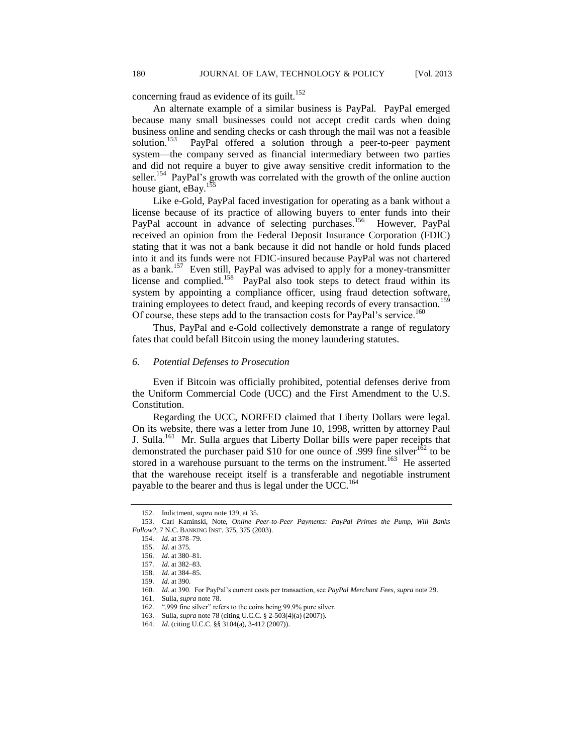concerning fraud as evidence of its guilt.<sup>152</sup>

An alternate example of a similar business is PayPal. PayPal emerged because many small businesses could not accept credit cards when doing business online and sending checks or cash through the mail was not a feasible solution. $153$  PayPal offered a solution through a peer-to-peer payment system—the company served as financial intermediary between two parties and did not require a buyer to give away sensitive credit information to the seller.<sup>154</sup> PayPal's growth was correlated with the growth of the online auction house giant, eBay.<sup>155</sup>

Like e-Gold, PayPal faced investigation for operating as a bank without a license because of its practice of allowing buyers to enter funds into their PayPal account in advance of selecting purchases.<sup>156</sup> However, PayPal received an opinion from the Federal Deposit Insurance Corporation (FDIC) stating that it was not a bank because it did not handle or hold funds placed into it and its funds were not FDIC-insured because PayPal was not chartered as a bank.<sup>157</sup> Even still, PayPal was advised to apply for a money-transmitter license and complied.<sup>158</sup> PayPal also took steps to detect fraud within its system by appointing a compliance officer, using fraud detection software, training employees to detect fraud, and keeping records of every transaction.<sup>159</sup> Of course, these steps add to the transaction costs for PayPal's service.<sup>160</sup>

Thus, PayPal and e-Gold collectively demonstrate a range of regulatory fates that could befall Bitcoin using the money laundering statutes.

## *6. Potential Defenses to Prosecution*

Even if Bitcoin was officially prohibited, potential defenses derive from the Uniform Commercial Code (UCC) and the First Amendment to the U.S. Constitution.

Regarding the UCC, NORFED claimed that Liberty Dollars were legal. On its website, there was a letter from June 10, 1998, written by attorney Paul J. Sulla.<sup>161</sup> Mr. Sulla argues that Liberty Dollar bills were paper receipts that demonstrated the purchaser paid \$10 for one ounce of .999 fine silver<sup>162</sup> to be stored in a warehouse pursuant to the terms on the instrument.<sup>163</sup> He asserted that the warehouse receipt itself is a transferable and negotiable instrument payable to the bearer and thus is legal under the UCC.<sup>164</sup>

<sup>152.</sup> Indictment, *supra* note 139, at 35.

<sup>153.</sup> Carl Kaminski, Note, *Online Peer-to-Peer Payments: PayPal Primes the Pump, Will Banks Follow?*, 7 N.C. BANKING INST. 375, 375 (2003).

<sup>154.</sup> *Id.* at 378–79.

<sup>155.</sup> *Id.* at 375.

<sup>156.</sup> *Id*. at 380–81.

<sup>157.</sup> *Id.* at 382–83.

<sup>158.</sup> *Id.* at 384–85.

<sup>159.</sup> *Id.* at 390.

<sup>160.</sup> *Id.* at 390. For PayPal's current costs per transaction, see *PayPal Merchant Fees*, *supra* note 29.

<sup>161.</sup> Sulla, *supra* note 78.

<sup>162.</sup> ".999 fine silver" refers to the coins being 99.9% pure silver.

<sup>163.</sup> Sulla, *supra* note 78 (citing U.C.C. § 2-503(4)(a) (2007)).

<sup>164.</sup> *Id.* (citing U.C.C. §§ 3104(a), 3-412 (2007)).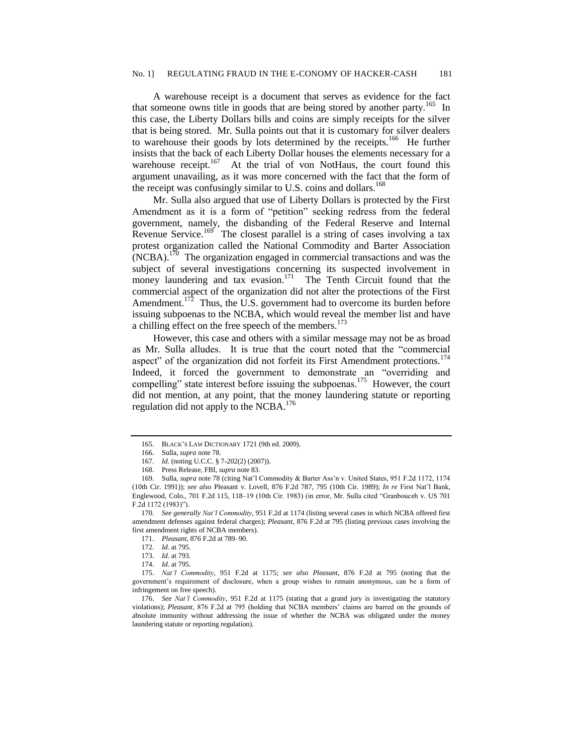A warehouse receipt is a document that serves as evidence for the fact that someone owns title in goods that are being stored by another party.<sup>165</sup> In this case, the Liberty Dollars bills and coins are simply receipts for the silver that is being stored. Mr. Sulla points out that it is customary for silver dealers to warehouse their goods by lots determined by the receipts.<sup>166</sup> He further insists that the back of each Liberty Dollar houses the elements necessary for a warehouse receipt.<sup>167</sup> At the trial of von NotHaus, the court found this argument unavailing, as it was more concerned with the fact that the form of the receipt was confusingly similar to U.S. coins and dollars.<sup>168</sup>

Mr. Sulla also argued that use of Liberty Dollars is protected by the First Amendment as it is a form of "petition" seeking redress from the federal government, namely, the disbanding of the Federal Reserve and Internal Revenue Service.<sup>169</sup> The closest parallel is a string of cases involving a tax protest organization called the National Commodity and Barter Association  $(NCBA)$ .<sup>170</sup> The organization engaged in commercial transactions and was the subject of several investigations concerning its suspected involvement in money laundering and tax evasion.<sup>171</sup> The Tenth Circuit found that the commercial aspect of the organization did not alter the protections of the First Amendment.<sup>172</sup> Thus, the U.S. government had to overcome its burden before issuing subpoenas to the NCBA, which would reveal the member list and have a chilling effect on the free speech of the members.<sup>173</sup>

However, this case and others with a similar message may not be as broad as Mr. Sulla alludes. It is true that the court noted that the "commercial aspect" of the organization did not forfeit its First Amendment protections.<sup>174</sup> Indeed, it forced the government to demonstrate an "overriding and compelling" state interest before issuing the subpoenas.<sup>175</sup> However, the court did not mention, at any point, that the money laundering statute or reporting regulation did not apply to the NCBA.<sup>176</sup>

171. *Pleasant*, 876 F.2d at 789–90.

<sup>165.</sup> BLACK'S LAW DICTIONARY 1721 (9th ed. 2009).

<sup>166.</sup> Sulla, *supra* note 78.

<sup>167.</sup> *Id*. (noting U.C.C. § 7-202(2) (2007)).

<sup>168.</sup> Press Release, FBI, *supra* note 83.

<sup>169.</sup> Sulla, *supra* note 78 (citing Nat'l Commodity & Barter Ass'n v. United States, 951 F.2d 1172, 1174 (10th Cir. 1991)); *see also* Pleasant v. Lovell, 876 F.2d 787, 795 (10th Cir. 1989); *In re* First Nat'l Bank, Englewood, Colo., 701 F.2d 115, 118–19 (10th Cir. 1983) (in error, Mr. Sulla cited "Granbouceh v. US 701 F.2d 1172 (1983)").

<sup>170.</sup> *See generally Nat'l Commodity*, 951 F.2d at 1174 (listing several cases in which NCBA offered first amendment defenses against federal charges); *Pleasant*, 876 F.2d at 795 (listing previous cases involving the first amendment rights of NCBA members).

<sup>172.</sup> *Id*. at 795.

<sup>173.</sup> *Id*. at 793.

<sup>174.</sup> *Id*. at 795.

<sup>175.</sup> *Nat'l Commodity*, 951 F.2d at 1175; *see also Pleasant*, 876 F.2d at 795 (noting that the government's requirement of disclosure, when a group wishes to remain anonymous, can be a form of infringement on free speech).

<sup>176.</sup> *See Nat'l Commodity*, 951 F.2d at 1175 (stating that a grand jury is investigating the statutory violations); *Pleasant*, 876 F.2d at 795 (holding that NCBA members' claims are barred on the grounds of absolute immunity without addressing the issue of whether the NCBA was obligated under the money laundering statute or reporting regulation).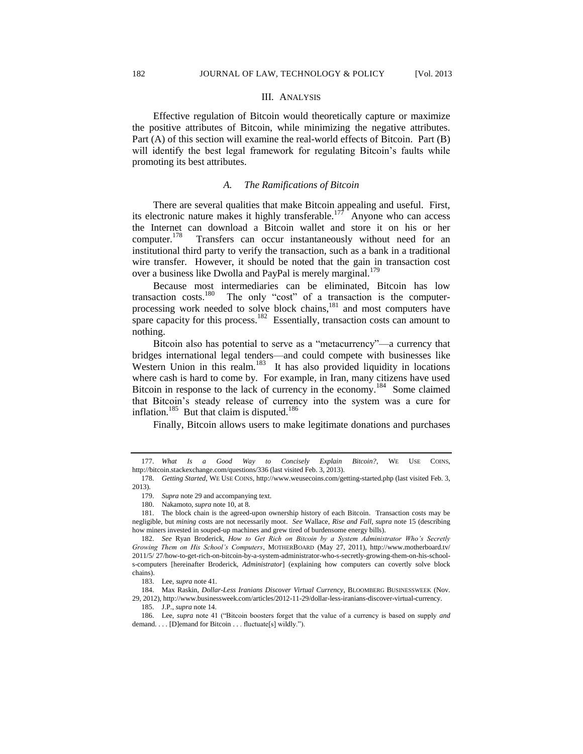#### III. ANALYSIS

Effective regulation of Bitcoin would theoretically capture or maximize the positive attributes of Bitcoin, while minimizing the negative attributes. Part (A) of this section will examine the real-world effects of Bitcoin. Part (B) will identify the best legal framework for regulating Bitcoin's faults while promoting its best attributes.

#### *A. The Ramifications of Bitcoin*

There are several qualities that make Bitcoin appealing and useful. First, its electronic nature makes it highly transferable.<sup>177</sup> Anyone who can access the Internet can download a Bitcoin wallet and store it on his or her computer.<sup>178</sup> Transfers can occur instantaneously without need for an institutional third party to verify the transaction, such as a bank in a traditional wire transfer. However, it should be noted that the gain in transaction cost over a business like Dwolla and PayPal is merely marginal.<sup>179</sup>

Because most intermediaries can be eliminated, Bitcoin has low transaction costs.<sup>180</sup> The only "cost" of a transaction is the computer-The only "cost" of a transaction is the computerprocessing work needed to solve block chains,<sup>181</sup> and most computers have spare capacity for this process.<sup>182</sup> Essentially, transaction costs can amount to nothing.

Bitcoin also has potential to serve as a "metacurrency"—a currency that bridges international legal tenders—and could compete with businesses like Western Union in this realm.<sup>183</sup> It has also provided liquidity in locations where cash is hard to come by. For example, in Iran, many citizens have used Bitcoin in response to the lack of currency in the economy.<sup>184</sup> Some claimed that Bitcoin's steady release of currency into the system was a cure for inflation.<sup>185</sup> But that claim is disputed.<sup>186</sup>

Finally, Bitcoin allows users to make legitimate donations and purchases

184. Max Raskin, *Dollar-Less Iranians Discover Virtual Currency*, BLOOMBERG BUSINESSWEEK (Nov. 29, 2012), http://www.businessweek.com/articles/2012-11-29/dollar-less-iranians-discover-virtual-currency.

<sup>177.</sup> *What Is a Good Way to Concisely Explain Bitcoin?*, WE USE COINS, http://bitcoin.stackexchange.com/questions/336 (last visited Feb. 3, 2013).

<sup>178.</sup> *Getting Started*, WE USE COINS, http://www.weusecoins.com/getting-started.php (last visited Feb. 3, 2013).

<sup>179.</sup> *Supra* note 29 and accompanying text.

<sup>180.</sup> Nakamoto, *supra* note 10, at 8.

<sup>181.</sup> The block chain is the agreed-upon ownership history of each Bitcoin. Transaction costs may be negligible, but *mining* costs are not necessarily moot. *See* Wallace, *Rise and Fall*, *supra* note 15 (describing how miners invested in souped-up machines and grew tired of burdensome energy bills).

<sup>182.</sup> *See* Ryan Broderick, *How to Get Rich on Bitcoin by a System Administrator Who's Secretly Growing Them on His School's Computers*, MOTHERBOARD (May 27, 2011), http://www.motherboard.tv/ 2011/5/ 27/how-to-get-rich-on-bitcoin-by-a-system-administrator-who-s-secretly-growing-them-on-his-schools-computers [hereinafter Broderick, *Administrator*] (explaining how computers can covertly solve block chains).

<sup>183.</sup> Lee, *supra* note 41.

<sup>185.</sup> J.P., *supra* note 14.

<sup>186.</sup> Lee, *supra* note 41 ("Bitcoin boosters forget that the value of a currency is based on supply *and* demand. . . . [D]emand for Bitcoin . . . fluctuate[s] wildly.").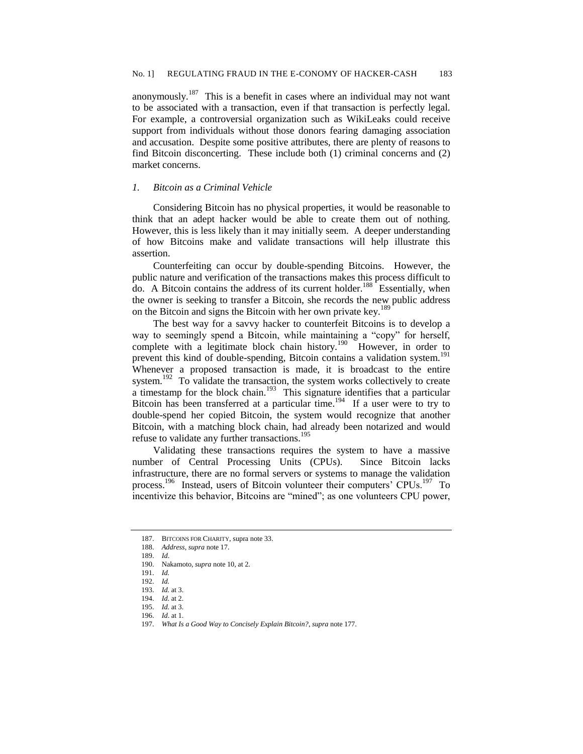anonymously.<sup>187</sup> This is a benefit in cases where an individual may not want to be associated with a transaction, even if that transaction is perfectly legal. For example, a controversial organization such as WikiLeaks could receive support from individuals without those donors fearing damaging association and accusation. Despite some positive attributes, there are plenty of reasons to find Bitcoin disconcerting. These include both (1) criminal concerns and (2) market concerns.

## *1. Bitcoin as a Criminal Vehicle*

Considering Bitcoin has no physical properties, it would be reasonable to think that an adept hacker would be able to create them out of nothing. However, this is less likely than it may initially seem. A deeper understanding of how Bitcoins make and validate transactions will help illustrate this assertion.

Counterfeiting can occur by double-spending Bitcoins. However, the public nature and verification of the transactions makes this process difficult to  $\overline{d}$  do. A Bitcoin contains the address of its current holder.<sup>188</sup> Essentially, when the owner is seeking to transfer a Bitcoin, she records the new public address on the Bitcoin and signs the Bitcoin with her own private key.<sup>189</sup>

The best way for a savvy hacker to counterfeit Bitcoins is to develop a way to seemingly spend a Bitcoin, while maintaining a "copy" for herself, complete with a legitimate block chain history.<sup>190</sup> However, in order to prevent this kind of double-spending, Bitcoin contains a validation system.<sup>191</sup> Whenever a proposed transaction is made, it is broadcast to the entire system.<sup>192</sup> To validate the transaction, the system works collectively to create  $\alpha$  timestamp for the block chain.<sup>193</sup> This signature identifies that a particular Bitcoin has been transferred at a particular time.<sup>194</sup> If a user were to try to double-spend her copied Bitcoin, the system would recognize that another Bitcoin, with a matching block chain, had already been notarized and would refuse to validate any further transactions. 195

Validating these transactions requires the system to have a massive number of Central Processing Units (CPUs). Since Bitcoin lacks infrastructure, there are no formal servers or systems to manage the validation process.<sup>196</sup> Instead, users of Bitcoin volunteer their computers' CPUs.<sup>197</sup> To incentivize this behavior, Bitcoins are "mined"; as one volunteers CPU power,

<sup>187.</sup> BITCOINS FOR CHARITY, supra note 33.

<sup>188.</sup> *Address*, *supra* note 17.

<sup>189.</sup> *Id*.

<sup>190.</sup> Nakamoto, *supra* note 10, at 2.

<sup>191.</sup> *Id.*

<sup>192.</sup> *Id.*

<sup>193.</sup> *Id.* at 3. 194. *Id.* at 2.

<sup>195.</sup> *Id.* at 3.

<sup>196.</sup> *Id*. at 1.

<sup>197.</sup> *What Is a Good Way to Concisely Explain Bitcoin?*, *supra* note 177.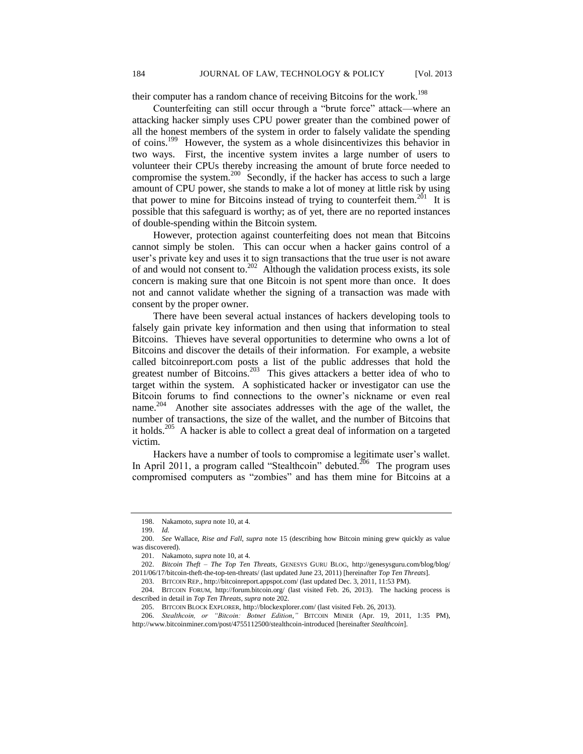their computer has a random chance of receiving Bitcoins for the work.<sup>198</sup>

Counterfeiting can still occur through a "brute force" attack—where an attacking hacker simply uses CPU power greater than the combined power of all the honest members of the system in order to falsely validate the spending of coins.<sup>199</sup> However, the system as a whole disincentivizes this behavior in two ways. First, the incentive system invites a large number of users to volunteer their CPUs thereby increasing the amount of brute force needed to compromise the system.<sup>200</sup> Secondly, if the hacker has access to such a large amount of CPU power, she stands to make a lot of money at little risk by using that power to mine for Bitcoins instead of trying to counterfeit them.<sup>201</sup> It is possible that this safeguard is worthy; as of yet, there are no reported instances of double-spending within the Bitcoin system.

However, protection against counterfeiting does not mean that Bitcoins cannot simply be stolen. This can occur when a hacker gains control of a user's private key and uses it to sign transactions that the true user is not aware of and would not consent to. 202 Although the validation process exists, its sole concern is making sure that one Bitcoin is not spent more than once. It does not and cannot validate whether the signing of a transaction was made with consent by the proper owner.

There have been several actual instances of hackers developing tools to falsely gain private key information and then using that information to steal Bitcoins. Thieves have several opportunities to determine who owns a lot of Bitcoins and discover the details of their information. For example, a website called bitcoinreport.com posts a list of the public addresses that hold the greatest number of Bitcoins.<sup>203</sup> This gives attackers a better idea of who to target within the system. A sophisticated hacker or investigator can use the Bitcoin forums to find connections to the owner's nickname or even real name.<sup>204</sup> Another site associates addresses with the age of the wallet, the number of transactions, the size of the wallet, and the number of Bitcoins that it holds.<sup>205</sup> A hacker is able to collect a great deal of information on a targeted victim.

Hackers have a number of tools to compromise a legitimate user's wallet. In April 2011, a program called "Stealthcoin" debuted.<sup>206</sup> The program uses compromised computers as "zombies" and has them mine for Bitcoins at a

<sup>198.</sup> Nakamoto, *supra* note 10, at 4.

<sup>199.</sup> *Id.*

<sup>200.</sup> *See* Wallace, *Rise and Fall*, *supra* note 15 (describing how Bitcoin mining grew quickly as value was discovered).

<sup>201.</sup> Nakamoto, *supra* note 10, at 4.

<sup>202.</sup> *Bitcoin Theft – The Top Ten Threats*, GENESYS GURU BLOG, http://genesysguru.com/blog/blog/ 2011/06/17/bitcoin-theft-the-top-ten-threats/ (last updated June 23, 2011) [hereinafter *Top Ten Threats*].

<sup>203.</sup> BITCOIN REP., http://bitcoinreport.appspot.com/ (last updated Dec. 3, 2011, 11:53 PM).

<sup>204.</sup> BITCOIN FORUM, http://forum.bitcoin.org/ (last visited Feb. 26, 2013). The hacking process is

described in detail in *Top Ten Threats*, *supra* note 202.

<sup>205.</sup> BITCOIN BLOCK EXPLORER, http://blockexplorer.com/ (last visited Feb. 26, 2013).

<sup>206.</sup> *Stealthcoin, or "Bitcoin: Botnet Edition*,*"* BITCOIN MINER (Apr. 19, 2011, 1:35 PM), http://www.bitcoinminer.com/post/4755112500/stealthcoin-introduced [hereinafter *Stealthcoin*].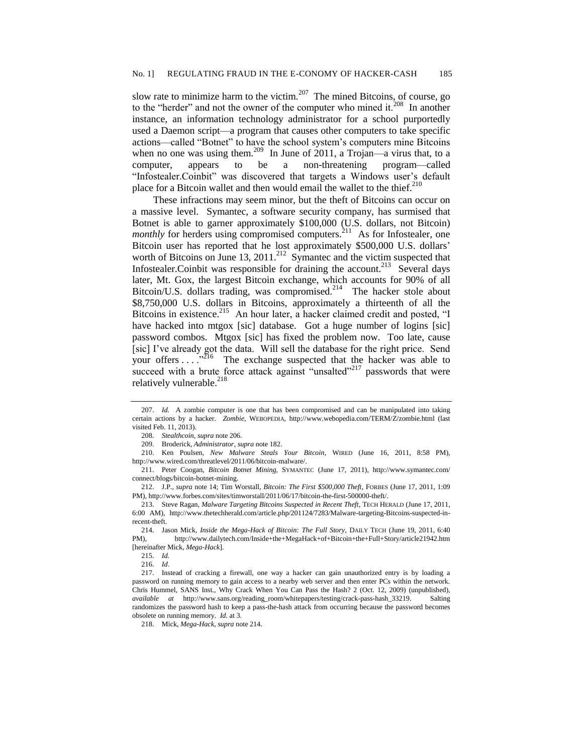slow rate to minimize harm to the victim.<sup>207</sup> The mined Bitcoins, of course, go to the "herder" and not the owner of the computer who mined it.<sup>208</sup> In another instance, an information technology administrator for a school purportedly used a Daemon script—a program that causes other computers to take specific actions—called "Botnet" to have the school system's computers mine Bitcoins when no one was using them.<sup>209</sup> In June of 2011, a Trojan—a virus that, to a computer, appears to be a non-threatening program—called "Infostealer.Coinbit" was discovered that targets a Windows user's default place for a Bitcoin wallet and then would email the wallet to the thief. $^{210}$ 

These infractions may seem minor, but the theft of Bitcoins can occur on a massive level. Symantec, a software security company, has surmised that Botnet is able to garner approximately \$100,000 (U.S. dollars, not Bitcoin) *monthly* for herders using compromised computers.<sup>211</sup> As for Infostealer, one Bitcoin user has reported that he lost approximately \$500,000 U.S. dollars' worth of Bitcoins on June 13, 2011.<sup>212</sup> Symantec and the victim suspected that Infostealer. Coinbit was responsible for draining the account.<sup>213</sup> Several days later, Mt. Gox, the largest Bitcoin exchange, which accounts for 90% of all Bitcoin/U.S. dollars trading, was compromised.<sup>214</sup> The hacker stole about \$8,750,000 U.S. dollars in Bitcoins, approximately a thirteenth of all the Bitcoins in existence.<sup>215</sup> An hour later, a hacker claimed credit and posted, "I have hacked into mtgox [sic] database. Got a huge number of logins [sic] password combos. Mtgox [sic] has fixed the problem now. Too late, cause [sic] I've already got the data. Will sell the database for the right price. Send your offers  $\dots$   $^{5216}$  The exchange suspected that the hacker was able to succeed with a brute force attack against "unsalted"<sup>217</sup> passwords that were relatively vulnerable.<sup>218</sup>

<sup>207.</sup> *Id.* A zombie computer is one that has been compromised and can be manipulated into taking certain actions by a hacker. *Zombie*, WEBOPEDIA, http://www.webopedia.com/TERM/Z/zombie.html (last visited Feb. 11, 2013).

<sup>208.</sup> *Stealthcoin*, *supra* note 206.

<sup>209.</sup> Broderick, *Administrator*, *supra* note 182.

<sup>210.</sup> Ken Poulsen, *New Malware Steals Your Bitcoin*, WIRED (June 16, 2011, 8:58 PM), http://www.wired.com/threatlevel/2011/06/bitcoin-malware/.

<sup>211.</sup> Peter Coogan, *Bitcoin Botnet Mining*, SYMANTEC (June 17, 2011), http://www.symantec.com/ connect/blogs/bitcoin-botnet-mining.

<sup>212.</sup> J.P., *supra* note 14; Tim Worstall, *Bitcoin: The First \$500,000 Theft*, FORBES (June 17, 2011, 1:09 PM), http://www.forbes.com/sites/timworstall/2011/06/17/bitcoin-the-first-500000-theft/.

<sup>213.</sup> Steve Ragan, *Malware Targeting Bitcoins Suspected in Recent Theft*, TECH HERALD (June 17, 2011, 6:00 AM), http://www.thetechherald.com/article.php/201124/7283/Malware-targeting-Bitcoins-suspected-inrecent-theft.

<sup>214.</sup> Jason Mick, *Inside the Mega-Hack of Bitcoin: The Full Story*, DAILY TECH (June 19, 2011, 6:40 PM), http://www.dailytech.com/Inside+the+MegaHack+of+Bitcoin+the+Full+Story/article21942.htm [hereinafter Mick, *Mega-Hack*].

<sup>215.</sup> *Id.*

<sup>216.</sup> *Id*.

<sup>217.</sup> Instead of cracking a firewall, one way a hacker can gain unauthorized entry is by loading a password on running memory to gain access to a nearby web server and then enter PCs within the network. Chris Hummel, SANS Inst., Why Crack When You Can Pass the Hash? 2 (Oct. 12, 2009) (unpublished), *available at* http://www.sans.org/reading\_room/whitepapers/testing/crack-pass-hash\_33219. Salting randomizes the password hash to keep a pass-the-hash attack from occurring because the password becomes obsolete on running memory. *Id.* at 3.

<sup>218.</sup> Mick, *Mega-Hack*, *supra* note 214.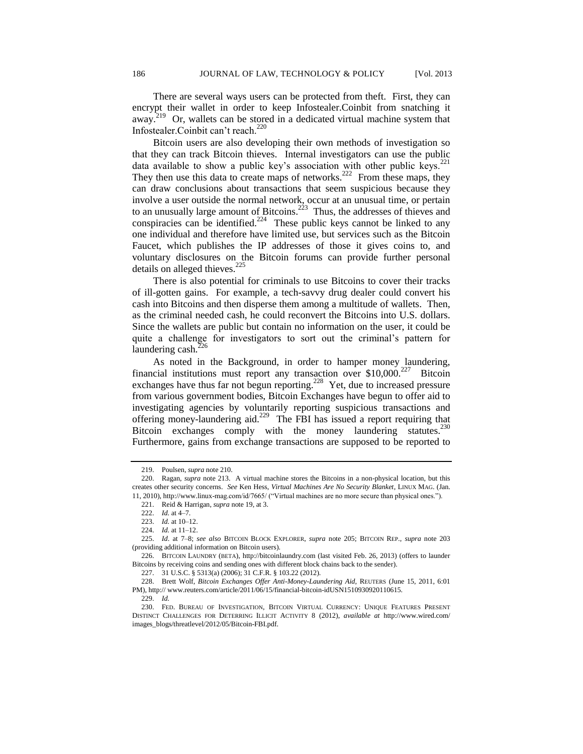Infostealer.Coinbit can't reach.<sup>220</sup> Bitcoin users are also developing their own methods of investigation so that they can track Bitcoin thieves. Internal investigators can use the public data available to show a public key's association with other public keys.<sup>221</sup> They then use this data to create maps of networks.<sup>222</sup> From these maps, they can draw conclusions about transactions that seem suspicious because they involve a user outside the normal network, occur at an unusual time, or pertain to an unusually large amount of Bitcoins.<sup>223</sup> Thus, the addresses of thieves and conspiracies can be identified.<sup>224</sup> These public keys cannot be linked to any one individual and therefore have limited use, but services such as the Bitcoin Faucet, which publishes the IP addresses of those it gives coins to, and voluntary disclosures on the Bitcoin forums can provide further personal details on alleged thieves. $225$ 

There is also potential for criminals to use Bitcoins to cover their tracks of ill-gotten gains. For example, a tech-savvy drug dealer could convert his cash into Bitcoins and then disperse them among a multitude of wallets. Then, as the criminal needed cash, he could reconvert the Bitcoins into U.S. dollars. Since the wallets are public but contain no information on the user, it could be quite a challenge for investigators to sort out the criminal's pattern for laundering cash. $<sup>2</sup>$ </sup>

As noted in the Background, in order to hamper money laundering, financial institutions must report any transaction over \$10,000.<sup>227</sup> Bitcoin exchanges have thus far not begun reporting.<sup>228</sup> Yet, due to increased pressure from various government bodies, Bitcoin Exchanges have begun to offer aid to investigating agencies by voluntarily reporting suspicious transactions and offering money-laundering aid.<sup>229</sup> The FBI has issued a report requiring that Bitcoin exchanges comply with the money laundering statutes.<sup>230</sup> Furthermore, gains from exchange transactions are supposed to be reported to

<sup>219.</sup> Poulsen, *supra* note 210.

<sup>220.</sup> Ragan, *supra* note 213. A virtual machine stores the Bitcoins in a non-physical location, but this creates other security concerns. *See* Ken Hess, *Virtual Machines Are No Security Blanket*, LINUX MAG. (Jan. 11, 2010), http://www.linux-mag.com/id/7665/ ("Virtual machines are no more secure than physical ones.").

<sup>221.</sup> Reid & Harrigan, *supra* note 19, at 3.

<sup>222.</sup> *Id.* at 4–7.

<sup>223.</sup> *Id.* at 10–12.

<sup>224.</sup> *Id.* at 11–12.

<sup>225.</sup> *Id*. at 7–8; *see also* BITCOIN BLOCK EXPLORER, *supra* note 205; BITCOIN REP., *supra* note 203 (providing additional information on Bitcoin users).

<sup>226.</sup> BITCOIN LAUNDRY (BETA), http://bitcoinlaundry.com (last visited Feb. 26, 2013) (offers to launder Bitcoins by receiving coins and sending ones with different block chains back to the sender).

<sup>227.</sup> 31 U.S.C. § 5313(a) (2006); 31 C.F.R. § 103.22 (2012).

<sup>228.</sup> Brett Wolf, *Bitcoin Exchanges Offer Anti-Money-Laundering Aid*, REUTERS (June 15, 2011, 6:01 PM), http:// www.reuters.com/article/2011/06/15/financial-bitcoin-idUSN1510930920110615.

<sup>229.</sup> *Id.*

<sup>230.</sup> FED. BUREAU OF INVESTIGATION, BITCOIN VIRTUAL CURRENCY: UNIQUE FEATURES PRESENT DISTINCT CHALLENGES FOR DETERRING ILLICIT ACTIVITY 8 (2012), *available at* http://www.wired.com/ images\_blogs/threatlevel/2012/05/Bitcoin-FBI.pdf.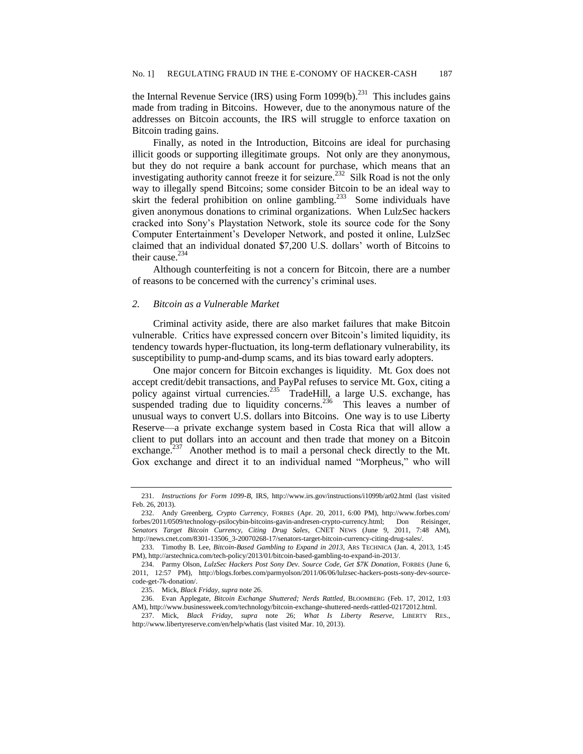the Internal Revenue Service (IRS) using Form  $1099(b)$ .<sup>231</sup> This includes gains made from trading in Bitcoins. However, due to the anonymous nature of the addresses on Bitcoin accounts, the IRS will struggle to enforce taxation on Bitcoin trading gains.

Finally, as noted in the Introduction, Bitcoins are ideal for purchasing illicit goods or supporting illegitimate groups. Not only are they anonymous, but they do not require a bank account for purchase, which means that an investigating authority cannot freeze it for seizure.<sup>232</sup> Silk Road is not the only way to illegally spend Bitcoins; some consider Bitcoin to be an ideal way to skirt the federal prohibition on online gambling.<sup>233</sup> Some individuals have given anonymous donations to criminal organizations. When LulzSec hackers cracked into Sony's Playstation Network, stole its source code for the Sony Computer Entertainment's Developer Network, and posted it online, LulzSec claimed that an individual donated \$7,200 U.S. dollars' worth of Bitcoins to their cause.<sup>234</sup>

Although counterfeiting is not a concern for Bitcoin, there are a number of reasons to be concerned with the currency's criminal uses.

## *2. Bitcoin as a Vulnerable Market*

Criminal activity aside, there are also market failures that make Bitcoin vulnerable. Critics have expressed concern over Bitcoin's limited liquidity, its tendency towards hyper-fluctuation, its long-term deflationary vulnerability, its susceptibility to pump-and-dump scams, and its bias toward early adopters.

One major concern for Bitcoin exchanges is liquidity. Mt. Gox does not accept credit/debit transactions, and PayPal refuses to service Mt. Gox, citing a policy against virtual currencies.<sup>235</sup> TradeHill, a large U.S. exchange, has suspended trading due to liquidity concerns.<sup>236</sup> This leaves a number of unusual ways to convert U.S. dollars into Bitcoins. One way is to use Liberty Reserve—a private exchange system based in Costa Rica that will allow a client to put dollars into an account and then trade that money on a Bitcoin exchange.<sup>237</sup> Another method is to mail a personal check directly to the Mt. Gox exchange and direct it to an individual named "Morpheus," who will

<sup>231.</sup> *Instructions for Form 1099-B*, IRS, http://www.irs.gov/instructions/i1099b/ar02.html (last visited Feb. 26, 2013).

<sup>232.</sup> Andy Greenberg, *Crypto Currency*, FORBES (Apr. 20, 2011, 6:00 PM), http://www.forbes.com/ forbes/2011/0509/technology-psilocybin-bitcoins-gavin-andresen-crypto-currency.html; Don Reisinger, *Senators Target Bitcoin Currency, Citing Drug Sales*, CNET NEWS (June 9, 2011, 7:48 AM), http://news.cnet.com/8301-13506\_3-20070268-17/senators-target-bitcoin-currency-citing-drug-sales/.

<sup>233.</sup> Timothy B. Lee, *Bitcoin-Based Gambling to Expand in 2013*, ARS TECHNICA (Jan. 4, 2013, 1:45 PM), http://arstechnica.com/tech-policy/2013/01/bitcoin-based-gambling-to-expand-in-2013/.

<sup>234.</sup> Parmy Olson, *LulzSec Hackers Post Sony Dev. Source Code, Get \$7K Donation*, FORBES (June 6, 2011, 12:57 PM), http://blogs.forbes.com/parmyolson/2011/06/06/lulzsec-hackers-posts-sony-dev-sourcecode-get-7k-donation/.

<sup>235.</sup> Mick, *Black Friday*, *supra* note 26.

<sup>236.</sup> Evan Applegate, *Bitcoin Exchange Shuttered; Nerds Rattled*, BLOOMBERG (Feb. 17, 2012, 1:03 AM), http://www.businessweek.com/technology/bitcoin-exchange-shuttered-nerds-rattled-02172012.html.

<sup>237.</sup> Mick, *Black Friday*, *supra* note 26; *What Is Liberty Reserve*, LIBERTY RES., http://www.libertyreserve.com/en/help/whatis (last visited Mar. 10, 2013).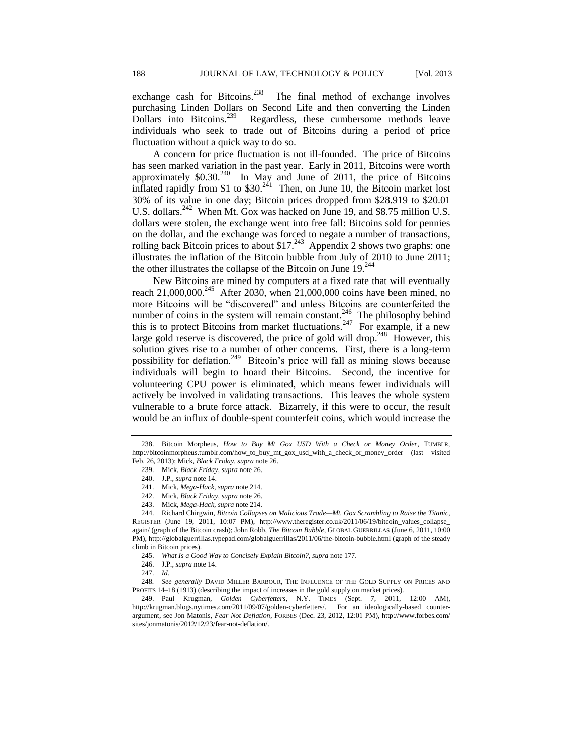exchange cash for Bitcoins.<sup>238</sup> The final method of exchange involves purchasing Linden Dollars on Second Life and then converting the Linden Dollars into Bitcoins.<sup>239</sup> Regardless, these cumbersome methods leave individuals who seek to trade out of Bitcoins during a period of price fluctuation without a quick way to do so.

A concern for price fluctuation is not ill-founded. The price of Bitcoins has seen marked variation in the past year. Early in 2011, Bitcoins were worth approximately  $$0.30<sup>240</sup>$  In May and June of 2011, the price of Bitcoins inflated rapidly from \$1 to  $$30.<sup>241</sup>$  Then, on June 10, the Bitcoin market lost 30% of its value in one day; Bitcoin prices dropped from \$28.919 to \$20.01 U.S. dollars.<sup>242</sup> When Mt. Gox was hacked on June 19, and \$8.75 million U.S. dollars were stolen, the exchange went into free fall: Bitcoins sold for pennies on the dollar, and the exchange was forced to negate a number of transactions, rolling back Bitcoin prices to about \$17. $^{243}$  Appendix 2 shows two graphs: one illustrates the inflation of the Bitcoin bubble from July of 2010 to June 2011; the other illustrates the collapse of the Bitcoin on June 19.<sup>244</sup>

New Bitcoins are mined by computers at a fixed rate that will eventually reach 21,000,000.<sup>245</sup> After 2030, when 21,000,000 coins have been mined, no more Bitcoins will be "discovered" and unless Bitcoins are counterfeited the number of coins in the system will remain constant.<sup>246</sup> The philosophy behind this is to protect Bitcoins from market fluctuations.<sup>247</sup> For example, if a new large gold reserve is discovered, the price of gold will drop.<sup>248</sup> However, this solution gives rise to a number of other concerns. First, there is a long-term possibility for deflation.<sup>249</sup> Bitcoin's price will fall as mining slows because individuals will begin to hoard their Bitcoins. Second, the incentive for volunteering CPU power is eliminated, which means fewer individuals will actively be involved in validating transactions. This leaves the whole system vulnerable to a brute force attack. Bizarrely, if this were to occur, the result would be an influx of double-spent counterfeit coins, which would increase the

<sup>238.</sup> Bitcoin Morpheus, *How to Buy Mt Gox USD With a Check or Money Order*, TUMBLR, http://bitcoinmorpheus.tumblr.com/how\_to\_buy\_mt\_gox\_usd\_with\_a\_check\_or\_money\_order (last visited Feb. 26, 2013); Mick, *Black Friday*, *supra* note 26.

<sup>239.</sup> Mick, *Black Friday*, *supra* note 26.

<sup>240.</sup> J.P., *supra* note 14.

<sup>241.</sup> Mick, *Mega-Hack*, *supra* note 214.

<sup>242.</sup> Mick, *Black Friday*, *supra* note 26.

<sup>243.</sup> Mick, *Mega-Hack*, *supra* note 214.

<sup>244.</sup> Richard Chirgwin, *Bitcoin Collapses on Malicious Trade—Mt. Gox Scrambling to Raise the Titanic*, REGISTER (June 19, 2011, 10:07 PM), http://www.theregister.co.uk/2011/06/19/bitcoin\_values\_collapse\_ again/ (graph of the Bitcoin crash); John Robb, *The Bitcoin Bubble*, GLOBAL GUERRILLAS (June 6, 2011, 10:00 PM), http://globalguerrillas.typepad.com/globalguerrillas/2011/06/the-bitcoin-bubble.html (graph of the steady climb in Bitcoin prices).

<sup>245.</sup> *What Is a Good Way to Concisely Explain Bitcoin?*, *supra* note 177.

<sup>246.</sup> J.P., *supra* note 14.

<sup>247.</sup> *Id.*

<sup>248</sup>*. See generally* DAVID MILLER BARBOUR, THE INFLUENCE OF THE GOLD SUPPLY ON PRICES AND PROFITS 14–18 (1913) (describing the impact of increases in the gold supply on market prices).

<sup>249.</sup> Paul Krugman, *Golden Cyberfetters*, N.Y. TIMES (Sept. 7, 2011, 12:00 AM), http://krugman.blogs.nytimes.com/2011/09/07/golden-cyberfetters/. For an ideologically-based counterargument, see Jon Matonis, *Fear Not Deflation*, FORBES (Dec. 23, 2012, 12:01 PM), http://www.forbes.com/ sites/jonmatonis/2012/12/23/fear-not-deflation/.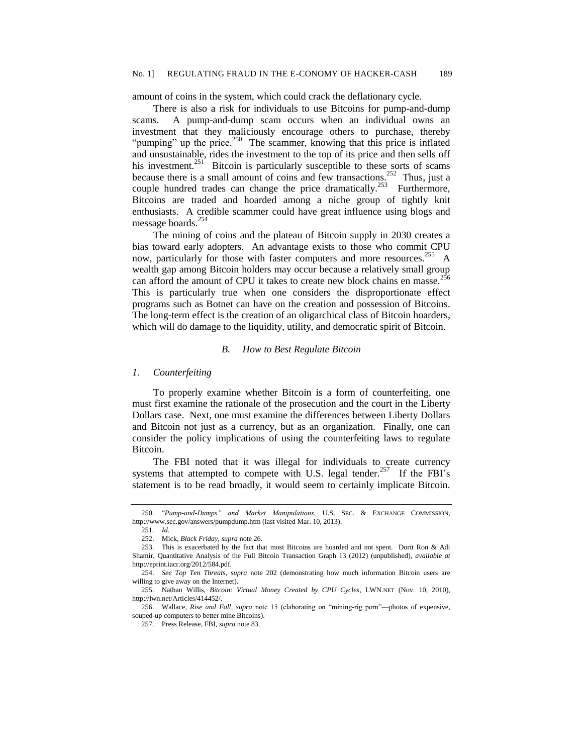amount of coins in the system, which could crack the deflationary cycle.

There is also a risk for individuals to use Bitcoins for pump-and-dump scams. A pump-and-dump scam occurs when an individual owns an investment that they maliciously encourage others to purchase, thereby "pumping" up the price.<sup>250</sup> The scammer, knowing that this price is inflated and unsustainable, rides the investment to the top of its price and then sells off his investment.<sup>251</sup> Bitcoin is particularly susceptible to these sorts of scams because there is a small amount of coins and few transactions.<sup>252</sup> Thus, just a couple hundred trades can change the price dramatically.<sup>253</sup> Furthermore, Bitcoins are traded and hoarded among a niche group of tightly knit enthusiasts. A credible scammer could have great influence using blogs and message boards.<sup>254</sup>

The mining of coins and the plateau of Bitcoin supply in 2030 creates a bias toward early adopters. An advantage exists to those who commit CPU now, particularly for those with faster computers and more resources.<sup>255</sup> A wealth gap among Bitcoin holders may occur because a relatively small group can afford the amount of CPU it takes to create new block chains en masse. This is particularly true when one considers the disproportionate effect programs such as Botnet can have on the creation and possession of Bitcoins. The long-term effect is the creation of an oligarchical class of Bitcoin hoarders, which will do damage to the liquidity, utility, and democratic spirit of Bitcoin.

## *B. How to Best Regulate Bitcoin*

## *1. Counterfeiting*

To properly examine whether Bitcoin is a form of counterfeiting, one must first examine the rationale of the prosecution and the court in the Liberty Dollars case. Next, one must examine the differences between Liberty Dollars and Bitcoin not just as a currency, but as an organization. Finally, one can consider the policy implications of using the counterfeiting laws to regulate Bitcoin.

The FBI noted that it was illegal for individuals to create currency systems that attempted to compete with U.S. legal tender.<sup>257</sup> If the FBI's statement is to be read broadly, it would seem to certainly implicate Bitcoin.

<sup>250.</sup> "*Pump-and-Dumps" and Market Manipulations*, U.S. SEC. & EXCHANGE COMMISSION, http://www.sec.gov/answers/pumpdump.htm (last visited Mar. 10, 2013).

<sup>251.</sup> *Id.*

<sup>252.</sup> Mick, *Black Friday*, *supra* note 26.

<sup>253.</sup> This is exacerbated by the fact that most Bitcoins are hoarded and not spent. Dorit Ron & Adi Shamir, Quantitative Analysis of the Full Bitcoin Transaction Graph 13 (2012) (unpublished), *available at* http://eprint.iacr.org/2012/584.pdf.

<sup>254.</sup> *See Top Ten Threats*, *supra* note 202 (demonstrating how much information Bitcoin users are willing to give away on the Internet).

<sup>255.</sup> Nathan Willis, *Bitcoin: Virtual Money Created by CPU Cycles*, LWN.NET (Nov. 10, 2010), http://lwn.net/Articles/414452/.

<sup>256.</sup> Wallace, *Rise and Fall*, *supra* note 15 (elaborating on "mining-rig porn"—photos of expensive, souped-up computers to better mine Bitcoins).

<sup>257.</sup> Press Release, FBI, *supra* note 83.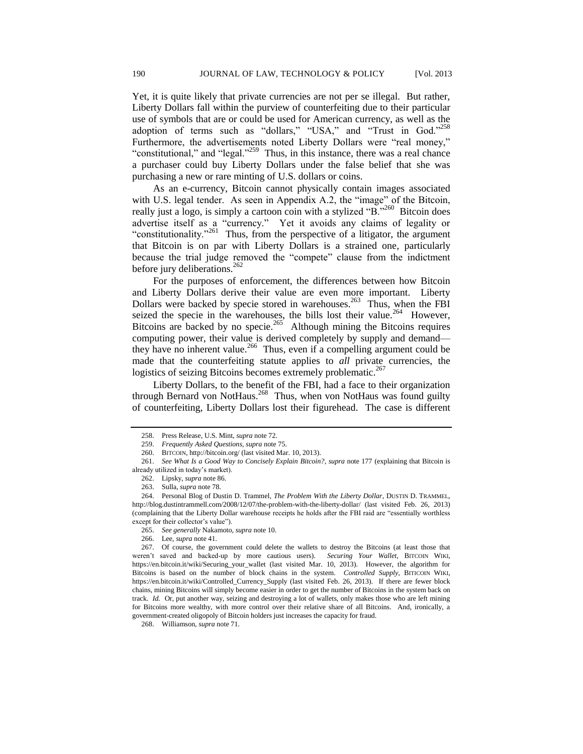Yet, it is quite likely that private currencies are not per se illegal. But rather, Liberty Dollars fall within the purview of counterfeiting due to their particular use of symbols that are or could be used for American currency, as well as the adoption of terms such as "dollars," "USA," and "Trust in God."<sup>258</sup> Furthermore, the advertisements noted Liberty Dollars were "real money," "constitutional," and "legal." $^{259}$  Thus, in this instance, there was a real chance a purchaser could buy Liberty Dollars under the false belief that she was purchasing a new or rare minting of U.S. dollars or coins.

As an e-currency, Bitcoin cannot physically contain images associated with U.S. legal tender. As seen in Appendix A.2, the "image" of the Bitcoin, really just a logo, is simply a cartoon coin with a stylized "B."<sup>260</sup> Bitcoin does advertise itself as a "currency." Yet it avoids any claims of legality or "constitutionality."<sup>261</sup> Thus, from the perspective of a litigator, the argument that Bitcoin is on par with Liberty Dollars is a strained one, particularly because the trial judge removed the "compete" clause from the indictment before jury deliberations. $^{262}$ 

For the purposes of enforcement, the differences between how Bitcoin and Liberty Dollars derive their value are even more important. Liberty Dollars were backed by specie stored in warehouses.<sup>263</sup> Thus, when the FBI seized the specie in the warehouses, the bills lost their value.<sup>264</sup> However, Bitcoins are backed by no specie.<sup>265</sup> Although mining the Bitcoins requires computing power, their value is derived completely by supply and demand they have no inherent value.<sup>266</sup> Thus, even if a compelling argument could be made that the counterfeiting statute applies to *all* private currencies, the logistics of seizing Bitcoins becomes extremely problematic.<sup>26</sup>

Liberty Dollars, to the benefit of the FBI, had a face to their organization through Bernard von NotHaus.<sup>268</sup> Thus, when von NotHaus was found guilty of counterfeiting, Liberty Dollars lost their figurehead. The case is different

<sup>258.</sup> Press Release, U.S. Mint, *supra* note 72.

<sup>259.</sup> *Frequently Asked Questions*, *supra* note 75.

<sup>260.</sup> BITCOIN, http://bitcoin.org/ (last visited Mar. 10, 2013).

<sup>261.</sup> *See What Is a Good Way to Concisely Explain Bitcoin?*, *supra* note 177 (explaining that Bitcoin is already utilized in today's market).

<sup>262.</sup> Lipsky, *supra* note 86.

<sup>263.</sup> Sulla, *supra* note 78.

<sup>264.</sup> Personal Blog of Dustin D. Trammel, *The Problem With the Liberty Dollar*, DUSTIN D. TRAMMEL, http://blog.dustintrammell.com/2008/12/07/the-problem-with-the-liberty-dollar/ (last visited Feb. 26, 2013) (complaining that the Liberty Dollar warehouse receipts he holds after the FBI raid are "essentially worthless except for their collector's value").

<sup>265.</sup> *See generally* Nakamoto, *supra* note 10.

<sup>266.</sup> Lee, *supra* note 41.

<sup>267.</sup> Of course, the government could delete the wallets to destroy the Bitcoins (at least those that weren't saved and backed-up by more cautious users). *Securing Your Wallet*, BITCOIN WIKI, https://en.bitcoin.it/wiki/Securing\_your\_wallet (last visited Mar. 10, 2013). However, the algorithm for Bitcoins is based on the number of block chains in the system. *Controlled Supply*, BITICOIN WIKI, https://en.bitcoin.it/wiki/Controlled\_Currency\_Supply (last visited Feb. 26, 2013). If there are fewer block chains, mining Bitcoins will simply become easier in order to get the number of Bitcoins in the system back on track. *Id.* Or, put another way, seizing and destroying a lot of wallets, only makes those who are left mining for Bitcoins more wealthy, with more control over their relative share of all Bitcoins. And, ironically, a government-created oligopoly of Bitcoin holders just increases the capacity for fraud.

<sup>268.</sup> Williamson, *supra* note 71.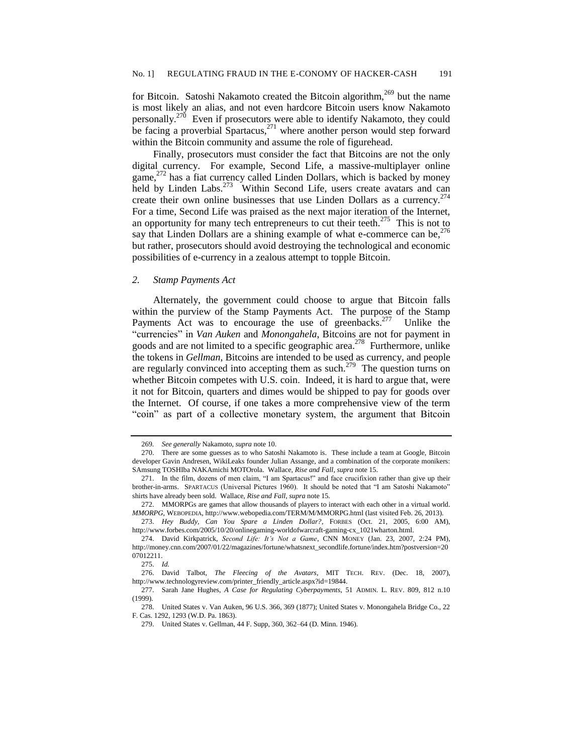for Bitcoin. Satoshi Nakamoto created the Bitcoin algorithm,  $269$  but the name is most likely an alias, and not even hardcore Bitcoin users know Nakamoto personally.<sup>270</sup> Even if prosecutors were able to identify Nakamoto, they could be facing a proverbial Spartacus,<sup>271</sup> where another person would step forward within the Bitcoin community and assume the role of figurehead.

Finally, prosecutors must consider the fact that Bitcoins are not the only digital currency. For example, Second Life, a massive-multiplayer online game,<sup>272</sup> has a fiat currency called Linden Dollars, which is backed by money held by Linden Labs.<sup>273</sup> Within Second Life, users create avatars and can create their own online businesses that use Linden Dollars as a currency.<sup>274</sup> For a time, Second Life was praised as the next major iteration of the Internet, an opportunity for many tech entrepreneurs to cut their teeth.<sup>275</sup> This is not to say that Linden Dollars are a shining example of what e-commerce can be,  $276$ but rather, prosecutors should avoid destroying the technological and economic possibilities of e-currency in a zealous attempt to topple Bitcoin.

#### *2. Stamp Payments Act*

Alternately, the government could choose to argue that Bitcoin falls within the purview of the Stamp Payments Act. The purpose of the Stamp Payments Act was to encourage the use of greenbacks.<sup>277</sup> Unlike the "currencies" in *Van Auken* and *Monongahela*, Bitcoins are not for payment in goods and are not limited to a specific geographic area.<sup>278</sup> Furthermore, unlike the tokens in *Gellman*, Bitcoins are intended to be used as currency, and people are regularly convinced into accepting them as such.<sup>279</sup> The question turns on whether Bitcoin competes with U.S. coin. Indeed, it is hard to argue that, were it not for Bitcoin, quarters and dimes would be shipped to pay for goods over the Internet. Of course, if one takes a more comprehensive view of the term "coin" as part of a collective monetary system, the argument that Bitcoin

<sup>269</sup>*. See generally* Nakamoto, *supra* note 10.

<sup>270.</sup> There are some guesses as to who Satoshi Nakamoto is. These include a team at Google, Bitcoin developer Gavin Andresen, WikiLeaks founder Julian Assange, and a combination of the corporate monikers: SAmsung TOSHIba NAKAmichi MOTOrola. Wallace, *Rise and Fall*, *supra* note 15.

<sup>271.</sup> In the film, dozens of men claim, "I am Spartacus!" and face crucifixion rather than give up their brother-in-arms. SPARTACUS (Universal Pictures 1960). It should be noted that "I am Satoshi Nakamoto" shirts have already been sold. Wallace, *Rise and Fall*, *supra* note 15.

<sup>272.</sup> MMORPGs are games that allow thousands of players to interact with each other in a virtual world. *MMORPG*, WEBOPEDIA, http://www.webopedia.com/TERM/M/MMORPG.html (last visited Feb. 26, 2013).

<sup>273.</sup> *Hey Buddy, Can You Spare a Linden Dollar?*, FORBES (Oct. 21, 2005, 6:00 AM), http://www.forbes.com/2005/10/20/onlinegaming-worldofwarcraft-gaming-cx\_1021wharton.html.

<sup>274.</sup> David Kirkpatrick, *Second Life: It's Not a Game*, CNN MONEY (Jan. 23, 2007, 2:24 PM), http://money.cnn.com/2007/01/22/magazines/fortune/whatsnext\_secondlife.fortune/index.htm?postversion=20 07012211.

<sup>275.</sup> *Id.*

<sup>276.</sup> David Talbot, *The Fleecing of the Avatars*, MIT TECH. REV. (Dec. 18, 2007), http://www.technologyreview.com/printer\_friendly\_article.aspx?id=19844.

<sup>277.</sup> Sarah Jane Hughes, *A Case for Regulating Cyberpayments*, 51 ADMIN. L. REV. 809, 812 n.10 (1999).

<sup>278.</sup> United States v. Van Auken, 96 U.S. 366, 369 (1877); United States v. Monongahela Bridge Co., 22 F. Cas. 1292, 1293 (W.D. Pa. 1863).

<sup>279.</sup> United States v. Gellman, 44 F. Supp, 360, 362–64 (D. Minn. 1946).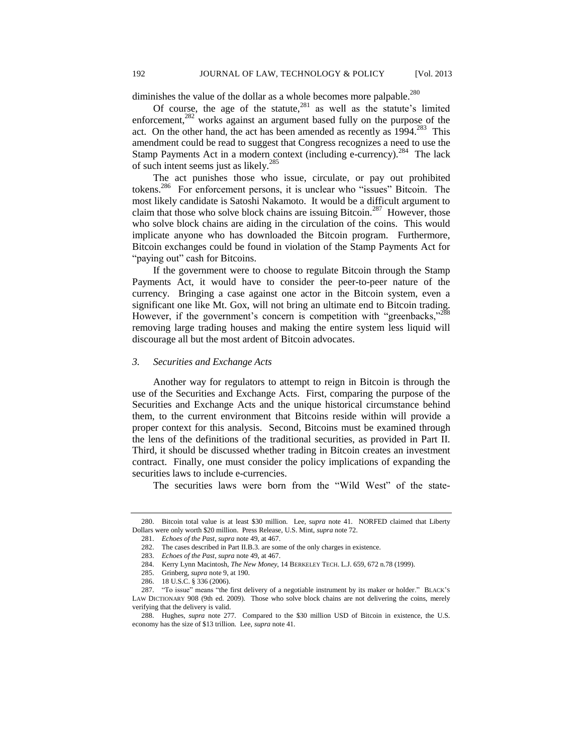diminishes the value of the dollar as a whole becomes more palpable.<sup>280</sup>

Of course, the age of the statute, $281$  as well as the statute's limited enforcement, $282$  works against an argument based fully on the purpose of the act. On the other hand, the act has been amended as recently as  $1994$ <sup>283</sup> This amendment could be read to suggest that Congress recognizes a need to use the Stamp Payments Act in a modern context (including e-currency).<sup>284</sup> The lack of such intent seems just as likely.<sup>285</sup>

The act punishes those who issue, circulate, or pay out prohibited tokens.<sup>286</sup> For enforcement persons, it is unclear who "issues" Bitcoin. The most likely candidate is Satoshi Nakamoto. It would be a difficult argument to claim that those who solve block chains are issuing Bitcoin.<sup>287</sup> However, those who solve block chains are aiding in the circulation of the coins. This would implicate anyone who has downloaded the Bitcoin program. Furthermore, Bitcoin exchanges could be found in violation of the Stamp Payments Act for "paying out" cash for Bitcoins.

If the government were to choose to regulate Bitcoin through the Stamp Payments Act, it would have to consider the peer-to-peer nature of the currency. Bringing a case against one actor in the Bitcoin system, even a significant one like Mt. Gox, will not bring an ultimate end to Bitcoin trading. However, if the government's concern is competition with "greenbacks,"<sup>288</sup> removing large trading houses and making the entire system less liquid will discourage all but the most ardent of Bitcoin advocates.

## *3. Securities and Exchange Acts*

Another way for regulators to attempt to reign in Bitcoin is through the use of the Securities and Exchange Acts. First, comparing the purpose of the Securities and Exchange Acts and the unique historical circumstance behind them, to the current environment that Bitcoins reside within will provide a proper context for this analysis. Second, Bitcoins must be examined through the lens of the definitions of the traditional securities, as provided in Part II. Third, it should be discussed whether trading in Bitcoin creates an investment contract. Finally, one must consider the policy implications of expanding the securities laws to include e-currencies.

The securities laws were born from the "Wild West" of the state-

<sup>280.</sup> Bitcoin total value is at least \$30 million. Lee, s*upra* note 41. NORFED claimed that Liberty Dollars were only worth \$20 million. Press Release, U.S. Mint, *supra* note 72.

<sup>281.</sup> *Echoes of the Past*, *supra* note 49, at 467.

<sup>282.</sup> The cases described in Part II.B.3. are some of the only charges in existence.

<sup>283.</sup> *Echoes of the Past*, *supra* note 49, at 467.

<sup>284.</sup> Kerry Lynn Macintosh, *The New Money*, 14 BERKELEY TECH. L.J. 659, 672 n.78 (1999).

<sup>285.</sup> Grinberg, *supra* note 9, at 190.

<sup>286.</sup> 18 U.S.C. § 336 (2006).

<sup>287.</sup> "To issue" means "the first delivery of a negotiable instrument by its maker or holder." BLACK'S LAW DICTIONARY 908 (9th ed. 2009). Those who solve block chains are not delivering the coins, merely verifying that the delivery is valid.

<sup>288.</sup> Hughes, *supra* note 277. Compared to the \$30 million USD of Bitcoin in existence, the U.S. economy has the size of \$13 trillion. Lee, *supra* note 41.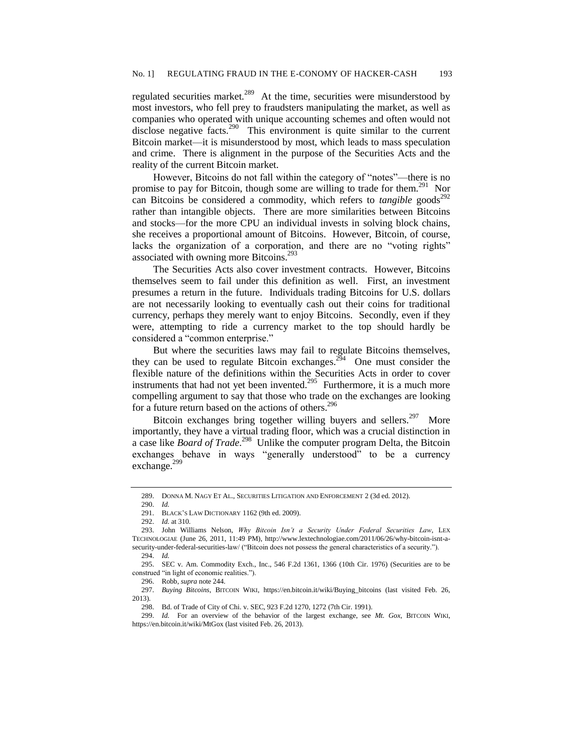regulated securities market.<sup>289</sup> At the time, securities were misunderstood by most investors, who fell prey to fraudsters manipulating the market, as well as companies who operated with unique accounting schemes and often would not disclose negative facts.<sup>290</sup> This environment is quite similar to the current Bitcoin market—it is misunderstood by most, which leads to mass speculation and crime. There is alignment in the purpose of the Securities Acts and the reality of the current Bitcoin market.

However, Bitcoins do not fall within the category of "notes"—there is no promise to pay for Bitcoin, though some are willing to trade for them.<sup>291</sup> Nor can Bitcoins be considered a commodity, which refers to *tangible* goods<sup>292</sup> rather than intangible objects. There are more similarities between Bitcoins and stocks—for the more CPU an individual invests in solving block chains, she receives a proportional amount of Bitcoins. However, Bitcoin, of course, lacks the organization of a corporation, and there are no "voting rights" associated with owning more Bitcoins.<sup>293</sup>

The Securities Acts also cover investment contracts. However, Bitcoins themselves seem to fail under this definition as well. First, an investment presumes a return in the future. Individuals trading Bitcoins for U.S. dollars are not necessarily looking to eventually cash out their coins for traditional currency, perhaps they merely want to enjoy Bitcoins. Secondly, even if they were, attempting to ride a currency market to the top should hardly be considered a "common enterprise."

But where the securities laws may fail to regulate Bitcoins themselves, they can be used to regulate Bitcoin exchanges.<sup> $2\frac{3}{4}$ </sup> One must consider the flexible nature of the definitions within the Securities Acts in order to cover instruments that had not yet been invented.<sup>295</sup> Furthermore, it is a much more compelling argument to say that those who trade on the exchanges are looking for a future return based on the actions of others.<sup>296</sup>

Bitcoin exchanges bring together willing buyers and sellers.<sup>297</sup> More importantly, they have a virtual trading floor, which was a crucial distinction in a case like *Board of Trade*. 298 Unlike the computer program Delta, the Bitcoin exchanges behave in ways "generally understood" to be a currency exchange.<sup>299</sup>

296. Robb, *supra* note 244.

<sup>289.</sup> DONNA M. NAGY ET AL., SECURITIES LITIGATION AND ENFORCEMENT 2 (3d ed. 2012).

<sup>290.</sup> *Id.*

<sup>291.</sup> BLACK'S LAW DICTIONARY 1162 (9th ed. 2009).

<sup>292.</sup> *Id.* at 310.

<sup>293.</sup> John Williams Nelson, *Why Bitcoin Isn't a Security Under Federal Securities Law*, LEX TECHNOLOGIAE (June 26, 2011, 11:49 PM), http://www.lextechnologiae.com/2011/06/26/why-bitcoin-isnt-asecurity-under-federal-securities-law/ ("Bitcoin does not possess the general characteristics of a security.").

<sup>294.</sup> *[Id.](http://www.lextechnologiae.com/2011/06/26/why-bitcoin-isnt-a-security-under-federal-securities-law/)*

<sup>295.</sup> SEC v. Am. Commodity Exch., Inc., 546 F.2d 1361, 1366 (10th Cir. 1976) (Securities are to be construed "in light of economic realities.").

<sup>297.</sup> *Buying Bitcoins*, BITCOIN WIKI, https://en.bitcoin.it/wiki/Buying\_bitcoins (last visited Feb. 26, 2013).

<sup>298.</sup> Bd. of Trade of City of Chi. v. SEC, 923 F.2d 1270, 1272 (7th Cir. 1991).

<sup>299.</sup> *Id.* For an overview of the behavior of the largest exchange, see *Mt. Gox*, BITCOIN WIKI, https://en.bitcoin.it/wiki/MtGox (last visited Feb. 26, 2013).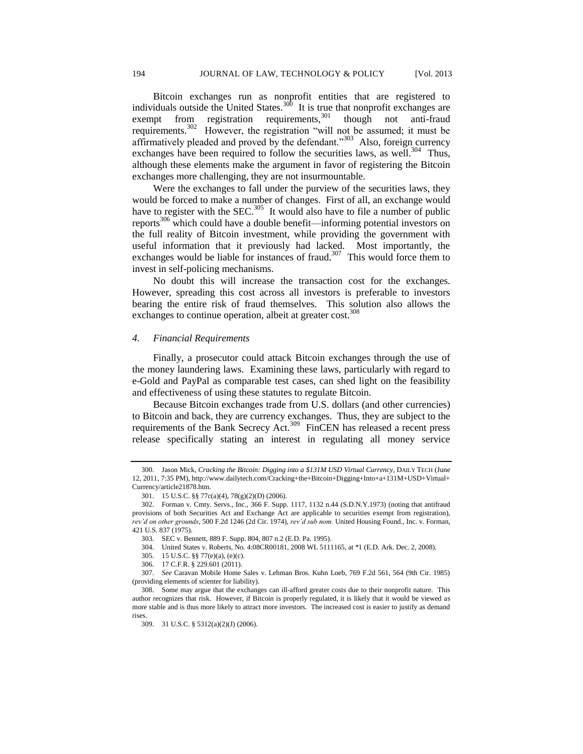Bitcoin exchanges run as nonprofit entities that are registered to individuals outside the United States.<sup>300</sup> It is true that nonprofit exchanges are exempt from registration requirements,<sup>301</sup> though not anti-fraud requirements.<sup>302</sup> However, the registration "will not be assumed; it must be affirmatively pleaded and proved by the defendant."<sup>303</sup> Also, foreign currency exchanges have been required to follow the securities laws, as well.<sup>304</sup> Thus, although these elements make the argument in favor of registering the Bitcoin exchanges more challenging, they are not insurmountable.

Were the exchanges to fall under the purview of the securities laws, they would be forced to make a number of changes. First of all, an exchange would have to register with the SEC.<sup>305</sup> It would also have to file a number of public reports<sup>306</sup> which could have a double benefit—informing potential investors on the full reality of Bitcoin investment, while providing the government with useful information that it previously had lacked. Most importantly, the exchanges would be liable for instances of fraud.<sup>307</sup> This would force them to invest in self-policing mechanisms.

No doubt this will increase the transaction cost for the exchanges. However, spreading this cost across all investors is preferable to investors bearing the entire risk of fraud themselves. This solution also allows the exchanges to continue operation, albeit at greater cost.<sup>308</sup>

## *4. Financial Requirements*

Finally, a prosecutor could attack Bitcoin exchanges through the use of the money laundering laws. Examining these laws, particularly with regard to e-Gold and PayPal as comparable test cases, can shed light on the feasibility and effectiveness of using these statutes to regulate Bitcoin.

Because Bitcoin exchanges trade from U.S. dollars (and other currencies) to Bitcoin and back, they are currency exchanges. Thus, they are subject to the requirements of the Bank Secrecy Act.<sup>309</sup> FinCEN has released a recent press release specifically stating an interest in regulating all money service

<sup>300.</sup> Jason Mick, *Cracking the Bitcoin: Digging into a \$131M USD Virtual Currency*, DAILY TECH (June 12, 2011, 7:35 PM), http://www.dailytech.com/Cracking+the+Bitcoin+Digging+Into+a+131M+USD+Virtual+ Currency/article21878.htm.

<sup>301.</sup> 15 U.S.C. §§ 77c(a)(4), 78(g)(2)(D) (2006).

<sup>302.</sup> Forman v. Cmty. Servs., Inc., 366 F. Supp. 1117, 1132 n.44 (S.D.N.Y.1973) (noting that antifraud provisions of both Securities Act and Exchange Act are applicable to securities exempt from registration), *rev'd on other grounds*, 500 F.2d 1246 (2d Cir. 1974), *rev'd sub nom.* United Housing Found., Inc. v. Forman, 421 U.S. 837 (1975).

<sup>303.</sup> SEC v. Bennett, 889 F. Supp. 804, 807 n.2 (E.D. Pa. 1995).

<sup>304.</sup> United States v. Roberts, No. 4:08CR00181, 2008 WL 5111165, at \*1 (E.D. Ark. Dec. 2, 2008).

<sup>305.</sup> 15 U.S.C. §§ 77(e)(a), (e)(c).

<sup>306.</sup> 17 C.F.R. § 229.601 (2011).

<sup>307.</sup> *See* Caravan Mobile Home Sales v. Lehman Bros. Kuhn Loeb, 769 F.2d 561, 564 (9th Cir. 1985) (providing elements of scienter for liability).

<sup>308.</sup> Some may argue that the exchanges can ill-afford greater costs due to their nonprofit nature. This author recognizes that risk. However, if Bitcoin is properly regulated, it is likely that it would be viewed as more stable and is thus more likely to attract more investors. The increased cost is easier to justify as demand rises.

<sup>309.</sup> 31 U.S.C. § 5312(a)(2)(J) (2006).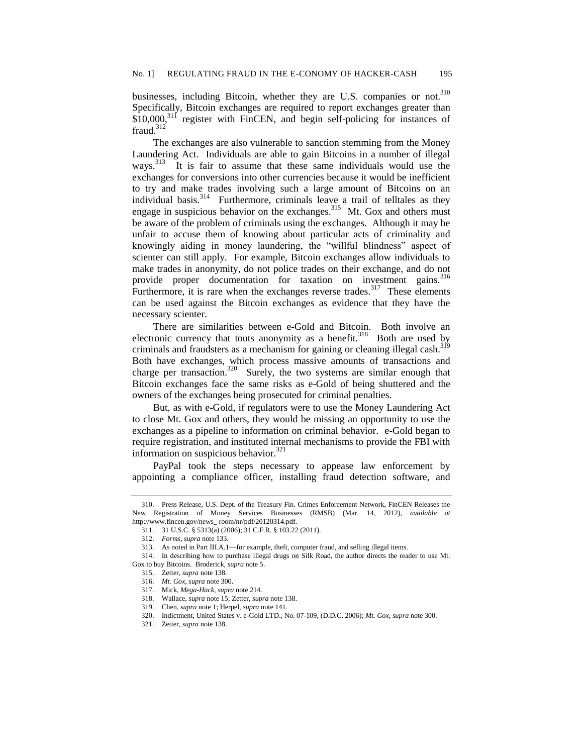businesses, including Bitcoin, whether they are U.S. companies or not.<sup>310</sup> Specifically, Bitcoin exchanges are required to report exchanges greater than  $$10,000$ ,<sup>311</sup> register with FinCEN, and begin self-policing for instances of fraud. $312^{7}$ 

The exchanges are also vulnerable to sanction stemming from the Money Laundering Act. Individuals are able to gain Bitcoins in a number of illegal ways.<sup>313</sup> It is fair to assume that these same individuals would use the exchanges for conversions into other currencies because it would be inefficient to try and make trades involving such a large amount of Bitcoins on an individual basis.<sup>314</sup> Furthermore, criminals leave a trail of telltales as they engage in suspicious behavior on the exchanges.<sup>315</sup> Mt. Gox and others must be aware of the problem of criminals using the exchanges. Although it may be unfair to accuse them of knowing about particular acts of criminality and knowingly aiding in money laundering, the "willful blindness" aspect of scienter can still apply. For example, Bitcoin exchanges allow individuals to make trades in anonymity, do not police trades on their exchange, and do not provide proper documentation for taxation on investment gains.<sup>316</sup> Furthermore, it is rare when the exchanges reverse trades.<sup>317</sup> These elements can be used against the Bitcoin exchanges as evidence that they have the necessary scienter.

There are similarities between e-Gold and Bitcoin. Both involve an electronic currency that touts anonymity as a benefit.<sup>318</sup> Both are used by criminals and fraudsters as a mechanism for gaining or cleaning illegal cash.<sup>319</sup> Both have exchanges, which process massive amounts of transactions and charge per transaction.<sup>320</sup> Surely, the two systems are similar enough that Bitcoin exchanges face the same risks as e-Gold of being shuttered and the owners of the exchanges being prosecuted for criminal penalties.

But, as with e-Gold, if regulators were to use the Money Laundering Act to close Mt. Gox and others, they would be missing an opportunity to use the exchanges as a pipeline to information on criminal behavior. e-Gold began to require registration, and instituted internal mechanisms to provide the FBI with information on suspicious behavior. $321$ 

PayPal took the steps necessary to appease law enforcement by appointing a compliance officer, installing fraud detection software, and

<sup>310.</sup> Press Release, U.S. Dept. of the Treasury Fin. Crimes Enforcement Network, FinCEN Releases the New Registration of Money Services Businesses (RMSB) (Mar. 14, 2012), *available at* http://www.fincen.gov/news\_ room/nr/pdf/20120314.pdf.

<sup>311.</sup> 31 U.S.C. § 5313(a) (2006); 31 C.F.R. § 103.22 (2011).

<sup>312.</sup> *Forms*, *supra* note 133.

<sup>313.</sup> As noted in Part III.A.1—for example, theft, computer fraud, and selling illegal items.

<sup>314.</sup> In describing how to purchase illegal drugs on Silk Road, the author directs the reader to use Mt. Gox to buy Bitcoins. Broderick, *supra* note 5.

<sup>315.</sup> Zetter, *supra* note 138.

<sup>316.</sup> *Mt. Gox*, *supra* note 300.

<sup>317.</sup> Mick, *Mega-Hack*, *supra* note 214.

<sup>318.</sup> Wallace, *supra* note 15; Zetter, *supra* note 138.

<sup>319.</sup> Chen, *supra* note 1; Herpel, *supra* note 141.

<sup>320.</sup> Indictment, United States v. e-Gold LTD., No. 07-109, (D.D.C. 2006); *Mt. Gox*, *supra* note 300.

<sup>321.</sup> Zetter, *supra* note 138.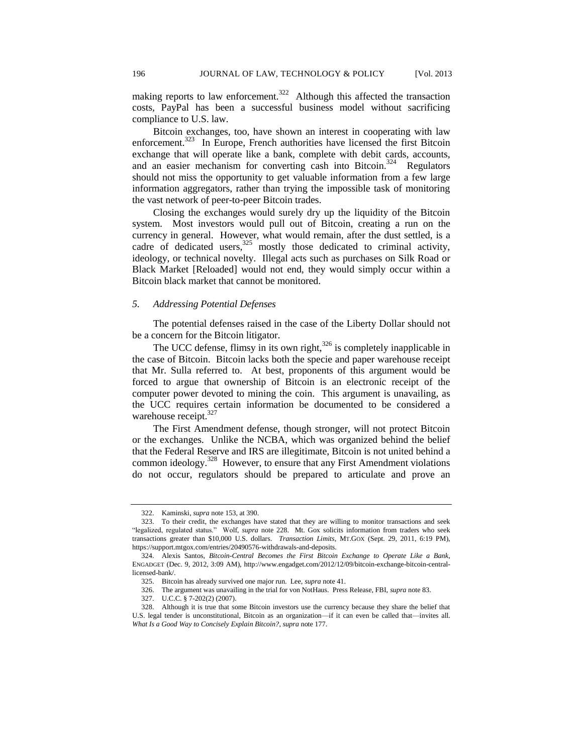making reports to law enforcement.<sup>322</sup> Although this affected the transaction costs, PayPal has been a successful business model without sacrificing compliance to U.S. law.

Bitcoin exchanges, too, have shown an interest in cooperating with law enforcement.<sup>323</sup> In Europe, French authorities have licensed the first Bitcoin exchange that will operate like a bank, complete with debit cards, accounts, and an easier mechanism for converting cash into Bitcoin.<sup>324</sup> Regulators should not miss the opportunity to get valuable information from a few large information aggregators, rather than trying the impossible task of monitoring the vast network of peer-to-peer Bitcoin trades.

Closing the exchanges would surely dry up the liquidity of the Bitcoin system. Most investors would pull out of Bitcoin, creating a run on the currency in general. However, what would remain, after the dust settled, is a cadre of dedicated users, $325$  mostly those dedicated to criminal activity, ideology, or technical novelty. Illegal acts such as purchases on Silk Road or Black Market [Reloaded] would not end, they would simply occur within a Bitcoin black market that cannot be monitored.

## *5. Addressing Potential Defenses*

The potential defenses raised in the case of the Liberty Dollar should not be a concern for the Bitcoin litigator.

The UCC defense, flimsy in its own right, $326$  is completely inapplicable in the case of Bitcoin. Bitcoin lacks both the specie and paper warehouse receipt that Mr. Sulla referred to. At best, proponents of this argument would be forced to argue that ownership of Bitcoin is an electronic receipt of the computer power devoted to mining the coin. This argument is unavailing, as the UCC requires certain information be documented to be considered a warehouse receipt.<sup>327</sup>

The First Amendment defense, though stronger, will not protect Bitcoin or the exchanges. Unlike the NCBA, which was organized behind the belief that the Federal Reserve and IRS are illegitimate, Bitcoin is not united behind a common ideology.<sup>328</sup> However, to ensure that any First Amendment violations do not occur, regulators should be prepared to articulate and prove an

<sup>322.</sup> Kaminski, *supra* note 153, at 390.

<sup>323.</sup> To their credit, the exchanges have stated that they are willing to monitor transactions and seek "legalized, regulated status." Wolf, *supra* note 228. Mt. Gox solicits information from traders who seek transactions greater than \$10,000 U.S. dollars. *Transaction Limits*, MT.GOX (Sept. 29, 2011, 6:19 PM), https://support.mtgox.com/entries/20490576-withdrawals-and-deposits.

<sup>324.</sup> Alexis Santos, *Bitcoin-Central Becomes the First Bitcoin Exchange to Operate Like a Bank*, ENGADGET (Dec. 9, 2012, 3:09 AM), http://www.engadget.com/2012/12/09/bitcoin-exchange-bitcoin-centrallicensed-bank/.

<sup>325.</sup> Bitcoin has already survived one major run. Lee, *supra* note 41.

<sup>326.</sup> The argument was unavailing in the trial for von NotHaus. Press Release, FBI, *supra* note 83.

<sup>327.</sup> U.C.C. § 7-202(2) (2007).

<sup>328.</sup> Although it is true that some Bitcoin investors use the currency because they share the belief that U.S. legal tender is unconstitutional, Bitcoin as an organization—if it can even be called that—invites all. *What Is a Good Way to Concisely Explain Bitcoin?*, *supra* note 177.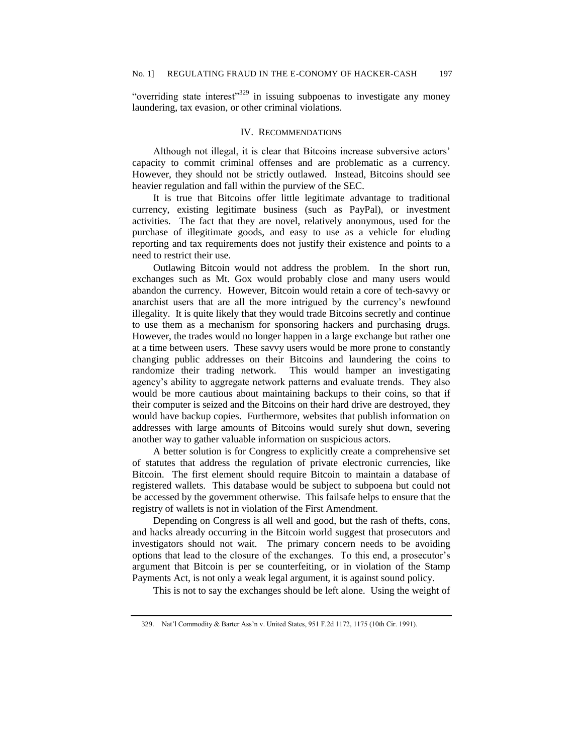"overriding state interest"<sup>329</sup> in issuing subpoenas to investigate any money laundering, tax evasion, or other criminal violations.

#### IV. RECOMMENDATIONS

Although not illegal, it is clear that Bitcoins increase subversive actors' capacity to commit criminal offenses and are problematic as a currency. However, they should not be strictly outlawed. Instead, Bitcoins should see heavier regulation and fall within the purview of the SEC.

It is true that Bitcoins offer little legitimate advantage to traditional currency, existing legitimate business (such as PayPal), or investment activities. The fact that they are novel, relatively anonymous, used for the purchase of illegitimate goods, and easy to use as a vehicle for eluding reporting and tax requirements does not justify their existence and points to a need to restrict their use.

Outlawing Bitcoin would not address the problem. In the short run, exchanges such as Mt. Gox would probably close and many users would abandon the currency. However, Bitcoin would retain a core of tech-savvy or anarchist users that are all the more intrigued by the currency's newfound illegality. It is quite likely that they would trade Bitcoins secretly and continue to use them as a mechanism for sponsoring hackers and purchasing drugs. However, the trades would no longer happen in a large exchange but rather one at a time between users. These savvy users would be more prone to constantly changing public addresses on their Bitcoins and laundering the coins to randomize their trading network. This would hamper an investigating agency's ability to aggregate network patterns and evaluate trends. They also would be more cautious about maintaining backups to their coins, so that if their computer is seized and the Bitcoins on their hard drive are destroyed, they would have backup copies. Furthermore, websites that publish information on addresses with large amounts of Bitcoins would surely shut down, severing another way to gather valuable information on suspicious actors.

A better solution is for Congress to explicitly create a comprehensive set of statutes that address the regulation of private electronic currencies, like Bitcoin. The first element should require Bitcoin to maintain a database of registered wallets. This database would be subject to subpoena but could not be accessed by the government otherwise. This failsafe helps to ensure that the registry of wallets is not in violation of the First Amendment.

Depending on Congress is all well and good, but the rash of thefts, cons, and hacks already occurring in the Bitcoin world suggest that prosecutors and investigators should not wait. The primary concern needs to be avoiding options that lead to the closure of the exchanges. To this end, a prosecutor's argument that Bitcoin is per se counterfeiting, or in violation of the Stamp Payments Act, is not only a weak legal argument, it is against sound policy.

This is not to say the exchanges should be left alone. Using the weight of

<sup>329.</sup> Nat'l Commodity & Barter Ass'n v. United States, 951 F.2d 1172, 1175 (10th Cir. 1991).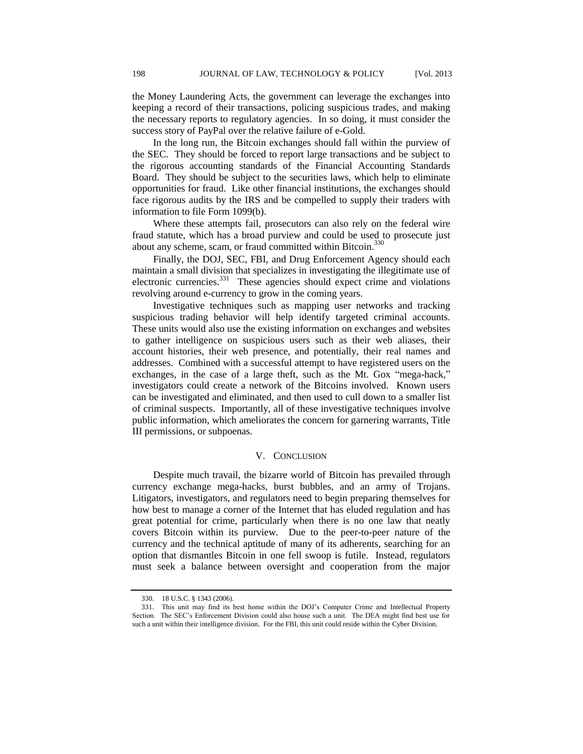the Money Laundering Acts, the government can leverage the exchanges into keeping a record of their transactions, policing suspicious trades, and making the necessary reports to regulatory agencies. In so doing, it must consider the success story of PayPal over the relative failure of e-Gold.

In the long run, the Bitcoin exchanges should fall within the purview of the SEC. They should be forced to report large transactions and be subject to the rigorous accounting standards of the Financial Accounting Standards Board. They should be subject to the securities laws, which help to eliminate opportunities for fraud. Like other financial institutions, the exchanges should face rigorous audits by the IRS and be compelled to supply their traders with information to file Form 1099(b).

Where these attempts fail, prosecutors can also rely on the federal wire fraud statute, which has a broad purview and could be used to prosecute just about any scheme, scam, or fraud committed within Bitcoin.<sup>330</sup>

Finally, the DOJ, SEC, FBI, and Drug Enforcement Agency should each maintain a small division that specializes in investigating the illegitimate use of electronic currencies.<sup>331</sup> These agencies should expect crime and violations revolving around e-currency to grow in the coming years.

Investigative techniques such as mapping user networks and tracking suspicious trading behavior will help identify targeted criminal accounts. These units would also use the existing information on exchanges and websites to gather intelligence on suspicious users such as their web aliases, their account histories, their web presence, and potentially, their real names and addresses. Combined with a successful attempt to have registered users on the exchanges, in the case of a large theft, such as the Mt. Gox "mega-hack," investigators could create a network of the Bitcoins involved. Known users can be investigated and eliminated, and then used to cull down to a smaller list of criminal suspects. Importantly, all of these investigative techniques involve public information, which ameliorates the concern for garnering warrants, Title III permissions, or subpoenas.

## V. CONCLUSION

Despite much travail, the bizarre world of Bitcoin has prevailed through currency exchange mega-hacks, burst bubbles, and an army of Trojans. Litigators, investigators, and regulators need to begin preparing themselves for how best to manage a corner of the Internet that has eluded regulation and has great potential for crime, particularly when there is no one law that neatly covers Bitcoin within its purview. Due to the peer-to-peer nature of the currency and the technical aptitude of many of its adherents, searching for an option that dismantles Bitcoin in one fell swoop is futile. Instead, regulators must seek a balance between oversight and cooperation from the major

<sup>330.</sup> 18 U.S.C. § 1343 (2006).

<sup>331.</sup> This unit may find its best home within the DOJ's Computer Crime and Intellectual Property Section. The SEC's Enforcement Division could also house such a unit. The DEA might find best use for such a unit within their intelligence division. For the FBI, this unit could reside within the Cyber Division.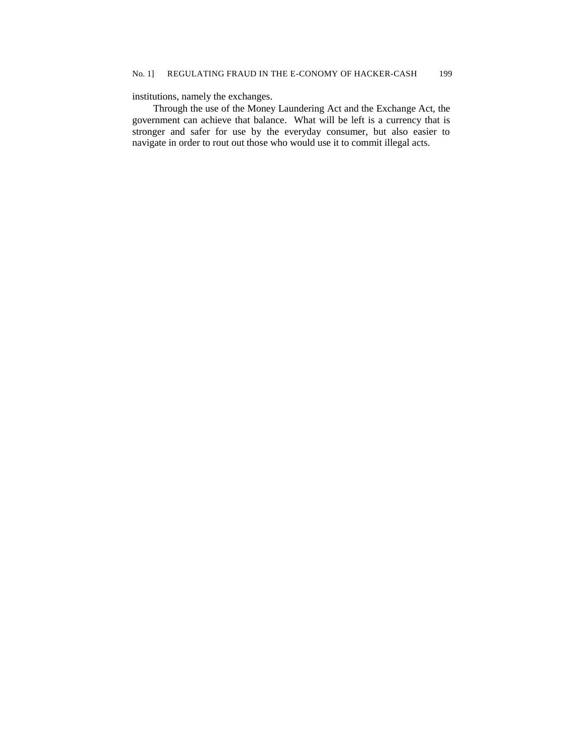# institutions, namely the exchanges.

Through the use of the Money Laundering Act and the Exchange Act, the government can achieve that balance. What will be left is a currency that is stronger and safer for use by the everyday consumer, but also easier to navigate in order to rout out those who would use it to commit illegal acts.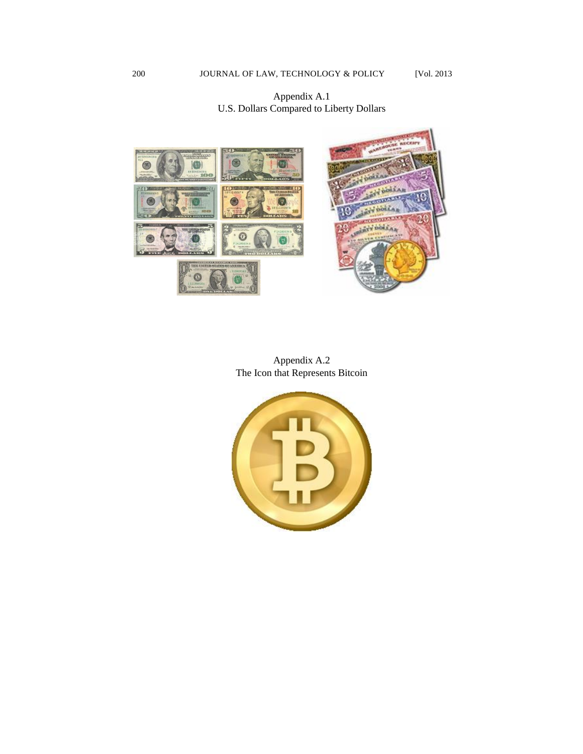# Appendix A.1 U.S. Dollars Compared to Liberty Dollars



Appendix A.2 The Icon that Represents Bitcoin